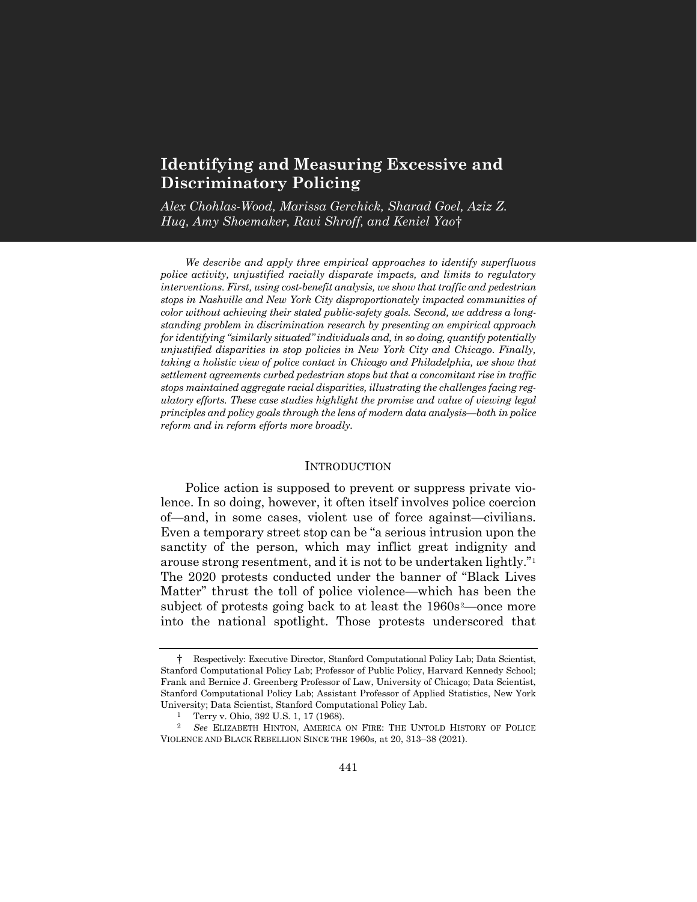# **Identifying and Measuring Excessive and Discriminatory Policing**

*Alex Chohlas-Wood, Marissa Gerchick, Sharad Goel, Aziz Z. Huq, Amy Shoemaker, Ravi Shroff, and Keniel Yao*[†](#page-0-0)

*We describe and apply three empirical approaches to identify superfluous police activity, unjustified racially disparate impacts, and limits to regulatory interventions. First, using cost-benefit analysis, we show that traffic and pedestrian stops in Nashville and New York City disproportionately impacted communities of color without achieving their stated public-safety goals. Second, we address a longstanding problem in discrimination research by presenting an empirical approach for identifying "similarly situated" individuals and, in so doing, quantify potentially unjustified disparities in stop policies in New York City and Chicago. Finally, taking a holistic view of police contact in Chicago and Philadelphia, we show that settlement agreements curbed pedestrian stops but that a concomitant rise in traffic stops maintained aggregate racial disparities, illustrating the challenges facing regulatory efforts. These case studies highlight the promise and value of viewing legal principles and policy goals through the lens of modern data analysis—both in police reform and in reform efforts more broadly.*

#### **INTRODUCTION**

Police action is supposed to prevent or suppress private violence. In so doing, however, it often itself involves police coercion of—and, in some cases, violent use of force against—civilians. Even a temporary street stop can be "a serious intrusion upon the sanctity of the person, which may inflict great indignity and arouse strong resentment, and it is not to be undertaken lightly."[1](#page-0-1) The 2020 protests conducted under the banner of "Black Lives Matter" thrust the toll of police violence—which has been the subject of protests going back to at least the 1960s<sup>[2](#page-0-2)</sup>—once more into the national spotlight. Those protests underscored that

<span id="page-0-0"></span><sup>†</sup> Respectively: Executive Director, Stanford Computational Policy Lab; Data Scientist, Stanford Computational Policy Lab; Professor of Public Policy, Harvard Kennedy School; Frank and Bernice J. Greenberg Professor of Law, University of Chicago; Data Scientist, Stanford Computational Policy Lab; Assistant Professor of Applied Statistics, New York University; Data Scientist, Stanford Computational Policy Lab.

<sup>1</sup> Terry v. Ohio, 392 U.S. 1, 17 (1968).

<span id="page-0-2"></span><span id="page-0-1"></span><sup>2</sup> *See* ELIZABETH HINTON, AMERICA ON FIRE: THE UNTOLD HISTORY OF POLICE VIOLENCE AND BLACK REBELLION SINCE THE 1960s, at 20, 313–38 (2021).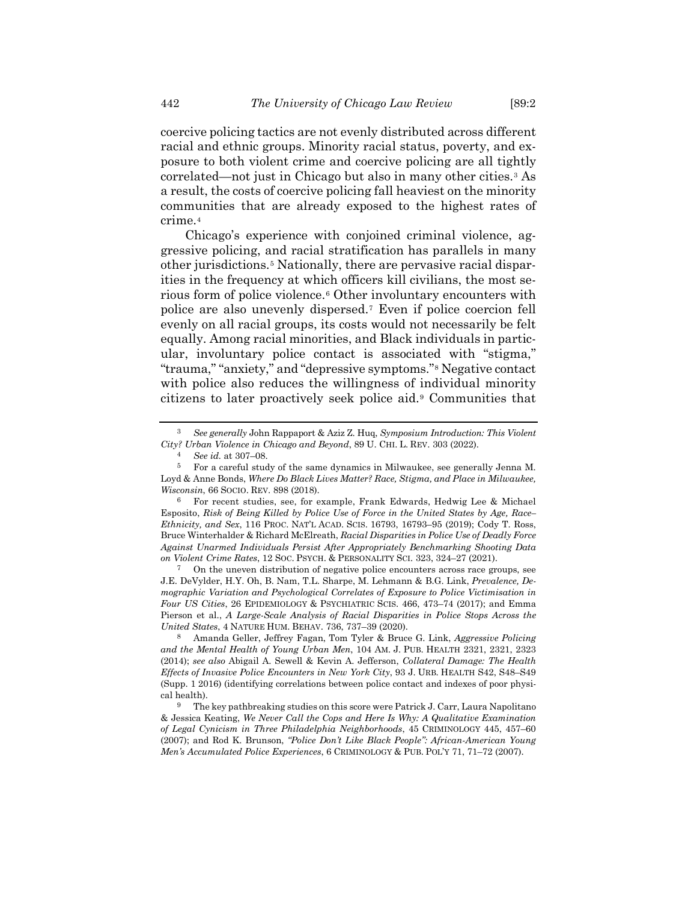coercive policing tactics are not evenly distributed across different racial and ethnic groups. Minority racial status, poverty, and exposure to both violent crime and coercive policing are all tightly correlated—not just in Chicago but also in many other cities.[3](#page-1-0) As a result, the costs of coercive policing fall heaviest on the minority communities that are already exposed to the highest rates of crime.[4](#page-1-1)

Chicago's experience with conjoined criminal violence, aggressive policing, and racial stratification has parallels in many other jurisdictions.[5](#page-1-2) Nationally, there are pervasive racial disparities in the frequency at which officers kill civilians, the most serious form of police violence.[6](#page-1-3) Other involuntary encounters with police are also unevenly dispersed.[7](#page-1-4) Even if police coercion fell evenly on all racial groups, its costs would not necessarily be felt equally. Among racial minorities, and Black individuals in particular, involuntary police contact is associated with "stigma," "trauma," "anxiety," and "depressive symptoms."[8](#page-1-5) Negative contact with police also reduces the willingness of individual minority citizens to later proactively seek police aid.[9](#page-1-6) Communities that

<span id="page-1-4"></span>7 On the uneven distribution of negative police encounters across race groups, see J.E. DeVylder, H.Y. Oh, B. Nam, T.L. Sharpe, M. Lehmann & B.G. Link, *Prevalence, Demographic Variation and Psychological Correlates of Exposure to Police Victimisation in Four US Cities*, 26 EPIDEMIOLOGY & PSYCHIATRIC SCIS. 466, 473–74 (2017); and Emma Pierson et al., *A Large-Scale Analysis of Racial Disparities in Police Stops Across the United States*, 4 NATURE HUM. BEHAV. 736, 737–39 (2020).

<span id="page-1-5"></span>8 Amanda Geller, Jeffrey Fagan, Tom Tyler & Bruce G. Link, *Aggressive Policing and the Mental Health of Young Urban Men*, 104 AM. J. PUB. HEALTH 2321, 2321, 2323 (2014); *see also* Abigail A. Sewell & Kevin A. Jefferson, *Collateral Damage: The Health Effects of Invasive Police Encounters in New York City*, 93 J. URB. HEALTH S42, S48–S49 (Supp. 1 2016) (identifying correlations between police contact and indexes of poor physical health).

<span id="page-1-0"></span><sup>3</sup> *See generally* John Rappaport & Aziz Z. Huq, *Symposium Introduction: This Violent City? Urban Violence in Chicago and Beyond*, 89 U. CHI. L. REV. 303 (2022).

<sup>4</sup> *See id.* at 307–08.

<span id="page-1-2"></span><span id="page-1-1"></span><sup>5</sup> For a careful study of the same dynamics in Milwaukee, see generally Jenna M. Loyd & Anne Bonds, *Where Do Black Lives Matter? Race, Stigma, and Place in Milwaukee, Wisconsin*, 66 SOCIO. REV. 898 (2018).

<span id="page-1-3"></span><sup>6</sup> For recent studies, see, for example, Frank Edwards, Hedwig Lee & Michael Esposito, *Risk of Being Killed by Police Use of Force in the United States by Age, Race– Ethnicity, and Sex*, 116 PROC. NAT'L ACAD. SCIS. 16793, 16793–95 (2019); Cody T. Ross, Bruce Winterhalder & Richard McElreath, *Racial Disparities in Police Use of Deadly Force Against Unarmed Individuals Persist After Appropriately Benchmarking Shooting Data on Violent Crime Rates*, 12 SOC. PSYCH. & PERSONALITY SCI. 323, 324–27 (2021).

<span id="page-1-6"></span><sup>9</sup> The key pathbreaking studies on this score were Patrick J. Carr, Laura Napolitano & Jessica Keating, *We Never Call the Cops and Here Is Why: A Qualitative Examination of Legal Cynicism in Three Philadelphia Neighborhoods*, 45 CRIMINOLOGY 445, 457–60 (2007); and Rod K. Brunson, *"Police Don't Like Black People": African-American Young Men's Accumulated Police Experiences*, 6 CRIMINOLOGY & PUB. POL'Y 71, 71–72 (2007).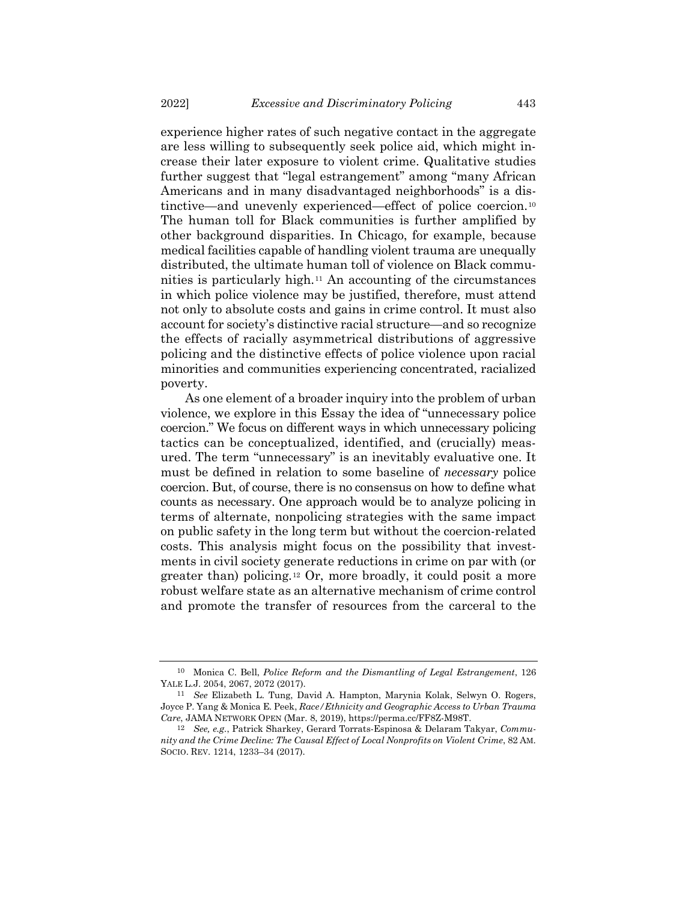experience higher rates of such negative contact in the aggregate are less willing to subsequently seek police aid, which might increase their later exposure to violent crime. Qualitative studies further suggest that "legal estrangement" among "many African Americans and in many disadvantaged neighborhoods" is a distinctive—and unevenly experienced—effect of police coercion.[10](#page-2-0) The human toll for Black communities is further amplified by other background disparities. In Chicago, for example, because medical facilities capable of handling violent trauma are unequally distributed, the ultimate human toll of violence on Black communities is particularly high.[11](#page-2-1) An accounting of the circumstances in which police violence may be justified, therefore, must attend not only to absolute costs and gains in crime control. It must also account for society's distinctive racial structure—and so recognize the effects of racially asymmetrical distributions of aggressive policing and the distinctive effects of police violence upon racial minorities and communities experiencing concentrated, racialized poverty.

As one element of a broader inquiry into the problem of urban violence, we explore in this Essay the idea of "unnecessary police coercion." We focus on different ways in which unnecessary policing tactics can be conceptualized, identified, and (crucially) measured. The term "unnecessary" is an inevitably evaluative one. It must be defined in relation to some baseline of *necessary* police coercion. But, of course, there is no consensus on how to define what counts as necessary. One approach would be to analyze policing in terms of alternate, nonpolicing strategies with the same impact on public safety in the long term but without the coercion-related costs. This analysis might focus on the possibility that investments in civil society generate reductions in crime on par with (or greater than) policing.[12](#page-2-2) Or, more broadly, it could posit a more robust welfare state as an alternative mechanism of crime control and promote the transfer of resources from the carceral to the

<span id="page-2-0"></span><sup>10</sup> Monica C. Bell, *Police Reform and the Dismantling of Legal Estrangement*, 126 YALE L.J. 2054, 2067, 2072 (2017).

<span id="page-2-1"></span><sup>11</sup> *See* Elizabeth L. Tung, David A. Hampton, Marynia Kolak, Selwyn O. Rogers, Joyce P. Yang & Monica E. Peek, *Race/Ethnicity and Geographic Access to Urban Trauma Care*, JAMA NETWORK OPEN (Mar. 8, 2019), https://perma.cc/FF8Z-M98T.

<span id="page-2-2"></span><sup>12</sup> *See, e.g.*, Patrick Sharkey, Gerard Torrats-Espinosa & Delaram Takyar, *Community and the Crime Decline: The Causal Effect of Local Nonprofits on Violent Crime*, 82 AM. SOCIO. REV. 1214, 1233–34 (2017).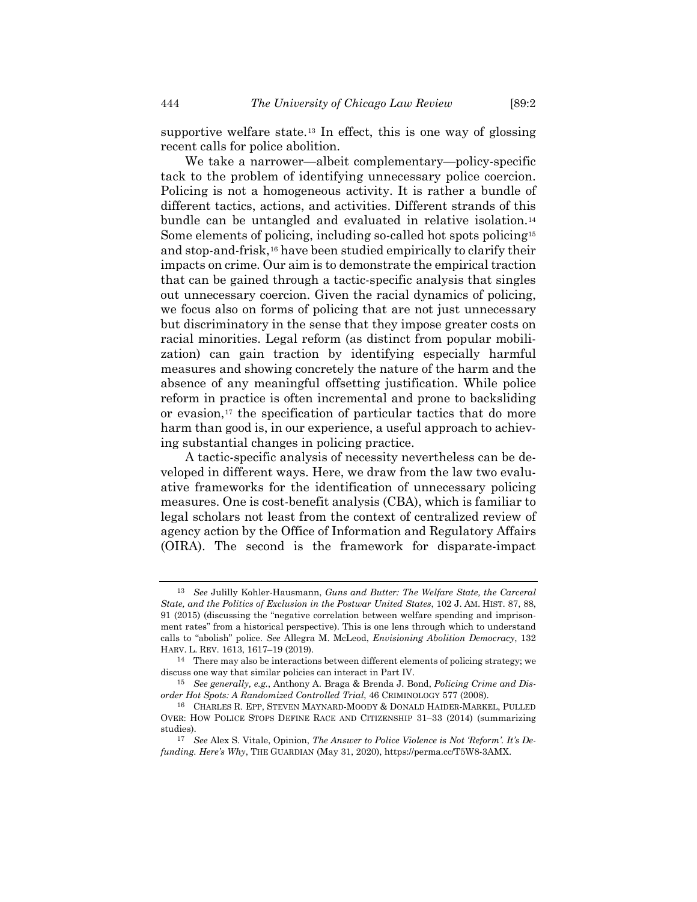supportive welfare state.[13](#page-3-0) In effect, this is one way of glossing recent calls for police abolition.

We take a narrower—albeit complementary—policy-specific tack to the problem of identifying unnecessary police coercion. Policing is not a homogeneous activity. It is rather a bundle of different tactics, actions, and activities. Different strands of this bundle can be untangled and evaluated in relative isolation.[14](#page-3-1) Some elements of policing, including so-called hot spots policing[15](#page-3-2) and stop-and-frisk[,16](#page-3-3) have been studied empirically to clarify their impacts on crime. Our aim is to demonstrate the empirical traction that can be gained through a tactic-specific analysis that singles out unnecessary coercion. Given the racial dynamics of policing, we focus also on forms of policing that are not just unnecessary but discriminatory in the sense that they impose greater costs on racial minorities. Legal reform (as distinct from popular mobilization) can gain traction by identifying especially harmful measures and showing concretely the nature of the harm and the absence of any meaningful offsetting justification. While police reform in practice is often incremental and prone to backsliding or evasion,<sup>[17](#page-3-4)</sup> the specification of particular tactics that do more harm than good is, in our experience, a useful approach to achieving substantial changes in policing practice.

A tactic-specific analysis of necessity nevertheless can be developed in different ways. Here, we draw from the law two evaluative frameworks for the identification of unnecessary policing measures. One is cost-benefit analysis (CBA), which is familiar to legal scholars not least from the context of centralized review of agency action by the Office of Information and Regulatory Affairs (OIRA). The second is the framework for disparate-impact

<span id="page-3-0"></span><sup>13</sup> *See* Julilly Kohler-Hausmann, *Guns and Butter: The Welfare State, the Carceral State, and the Politics of Exclusion in the Postwar United States*, 102 J. AM. HIST. 87, 88, 91 (2015) (discussing the "negative correlation between welfare spending and imprisonment rates" from a historical perspective). This is one lens through which to understand calls to "abolish" police. *See* Allegra M. McLeod, *Envisioning Abolition Democracy*, 132 HARV. L. REV. 1613, 1617–19 (2019).

<span id="page-3-1"></span><sup>&</sup>lt;sup>14</sup> There may also be interactions between different elements of policing strategy; we discuss one way that similar policies can interact in Part IV.

<span id="page-3-2"></span><sup>15</sup> *See generally, e.g.*, Anthony A. Braga & Brenda J. Bond, *Policing Crime and Disorder Hot Spots: A Randomized Controlled Trial*, 46 CRIMINOLOGY 577 (2008).

<span id="page-3-3"></span><sup>16</sup> CHARLES R. EPP, STEVEN MAYNARD-MOODY & DONALD HAIDER-MARKEL, PULLED OVER: HOW POLICE STOPS DEFINE RACE AND CITIZENSHIP 31–33 (2014) (summarizing studies).

<span id="page-3-4"></span><sup>17</sup> *See* Alex S. Vitale, Opinion, *The Answer to Police Violence is Not 'Reform'. It's Defunding. Here's Why*, THE GUARDIAN (May 31, 2020), https://perma.cc/T5W8-3AMX.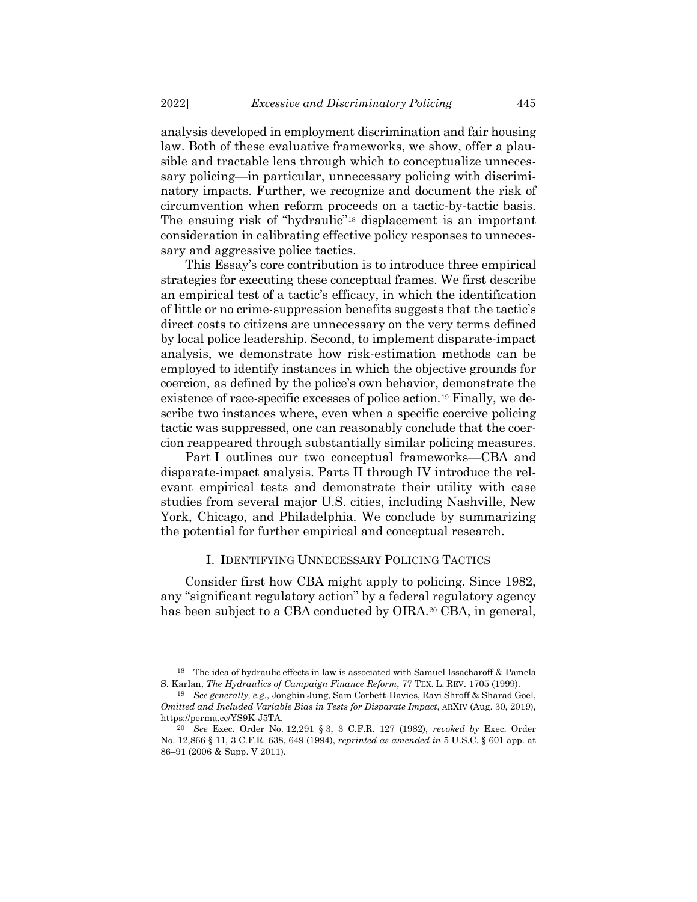analysis developed in employment discrimination and fair housing law. Both of these evaluative frameworks, we show, offer a plausible and tractable lens through which to conceptualize unnecessary policing—in particular, unnecessary policing with discriminatory impacts. Further, we recognize and document the risk of circumvention when reform proceeds on a tactic-by-tactic basis. The ensuing risk of "hydraulic"[18](#page-4-0) displacement is an important consideration in calibrating effective policy responses to unnecessary and aggressive police tactics.

This Essay's core contribution is to introduce three empirical strategies for executing these conceptual frames. We first describe an empirical test of a tactic's efficacy, in which the identification of little or no crime-suppression benefits suggests that the tactic's direct costs to citizens are unnecessary on the very terms defined by local police leadership. Second, to implement disparate-impact analysis, we demonstrate how risk-estimation methods can be employed to identify instances in which the objective grounds for coercion, as defined by the police's own behavior, demonstrate the existence of race-specific excesses of police action.[19](#page-4-1) Finally, we describe two instances where, even when a specific coercive policing tactic was suppressed, one can reasonably conclude that the coercion reappeared through substantially similar policing measures.

Part I outlines our two conceptual frameworks—CBA and disparate-impact analysis. Parts II through IV introduce the relevant empirical tests and demonstrate their utility with case studies from several major U.S. cities, including Nashville, New York, Chicago, and Philadelphia. We conclude by summarizing the potential for further empirical and conceptual research.

### <span id="page-4-3"></span>I. IDENTIFYING UNNECESSARY POLICING TACTICS

Consider first how CBA might apply to policing. Since 1982, any "significant regulatory action" by a federal regulatory agency has been subject to a CBA conducted by OIRA.<sup>[20](#page-4-2)</sup> CBA, in general,

<span id="page-4-0"></span><sup>18</sup> The idea of hydraulic effects in law is associated with Samuel Issacharoff & Pamela S. Karlan, *The Hydraulics of Campaign Finance Reform*, 77 TEX. L. REV. 1705 (1999).

<span id="page-4-1"></span><sup>19</sup> *See generally, e.g.*, Jongbin Jung, Sam Corbett-Davies, Ravi Shroff & Sharad Goel, *Omitted and Included Variable Bias in Tests for Disparate Impact*, ARXIV (Aug. 30, 2019), https://perma.cc/YS9K-J5TA.

<span id="page-4-2"></span><sup>20</sup> *See* Exec. Order No. 12,291 § 3, 3 C.F.R. 127 (1982), *revoked by* Exec. Order No. 12,866 § 11, 3 C.F.R. 638, 649 (1994), *reprinted as amended in* 5 U.S.C. § 601 app. at 86–91 (2006 & Supp. V 2011).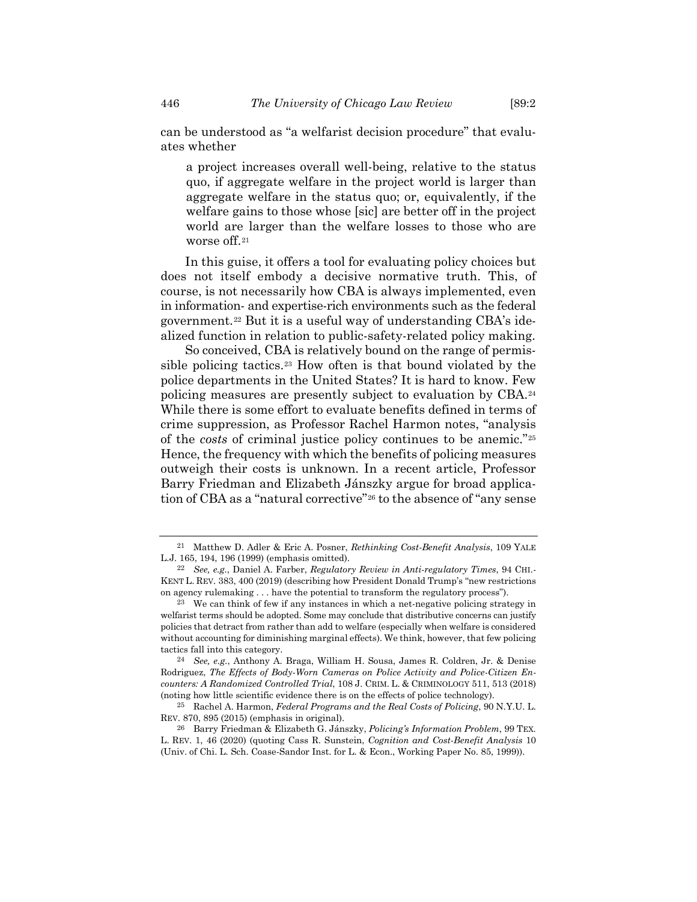can be understood as "a welfarist decision procedure" that evaluates whether

a project increases overall well-being, relative to the status quo, if aggregate welfare in the project world is larger than aggregate welfare in the status quo; or, equivalently, if the welfare gains to those whose [sic] are better off in the project world are larger than the welfare losses to those who are worse off[.21](#page-5-0)

In this guise, it offers a tool for evaluating policy choices but does not itself embody a decisive normative truth. This, of course, is not necessarily how CBA is always implemented, even in information- and expertise-rich environments such as the federal government.[22](#page-5-1) But it is a useful way of understanding CBA's idealized function in relation to public-safety-related policy making.

So conceived, CBA is relatively bound on the range of permissible policing tactics.[23](#page-5-2) How often is that bound violated by the police departments in the United States? It is hard to know. Few policing measures are presently subject to evaluation by CBA.[24](#page-5-3) While there is some effort to evaluate benefits defined in terms of crime suppression, as Professor Rachel Harmon notes, "analysis of the *costs* of criminal justice policy continues to be anemic."[25](#page-5-4) Hence, the frequency with which the benefits of policing measures outweigh their costs is unknown. In a recent article, Professor Barry Friedman and Elizabeth Jánszky argue for broad application of CBA as a "natural corrective"[26](#page-5-5) to the absence of "any sense

<span id="page-5-0"></span><sup>21</sup> Matthew D. Adler & Eric A. Posner, *Rethinking Cost-Benefit Analysis*, 109 YALE L.J. 165, 194, 196 (1999) (emphasis omitted).

<span id="page-5-1"></span><sup>22</sup> *See, e.g.*, Daniel A. Farber, *Regulatory Review in Anti-regulatory Times*, 94 CHI.- KENT L. REV. 383, 400 (2019) (describing how President Donald Trump's "new restrictions on agency rulemaking . . . have the potential to transform the regulatory process").

<span id="page-5-2"></span><sup>23</sup> We can think of few if any instances in which a net-negative policing strategy in welfarist terms should be adopted. Some may conclude that distributive concerns can justify policies that detract from rather than add to welfare (especially when welfare is considered without accounting for diminishing marginal effects). We think, however, that few policing tactics fall into this category.

<span id="page-5-3"></span><sup>24</sup> *See, e.g.*, Anthony A. Braga, William H. Sousa, James R. Coldren, Jr. & Denise Rodriguez, *The Effects of Body-Worn Cameras on Police Activity and Police-Citizen Encounters: A Randomized Controlled Trial*, 108 J. CRIM. L. & CRIMINOLOGY 511, 513 (2018) (noting how little scientific evidence there is on the effects of police technology).

<span id="page-5-4"></span><sup>25</sup> Rachel A. Harmon, *Federal Programs and the Real Costs of Policing*, 90 N.Y.U. L. REV. 870, 895 (2015) (emphasis in original).

<span id="page-5-5"></span><sup>26</sup> Barry Friedman & Elizabeth G. Jánszky, *Policing's Information Problem*, 99 TEX. L. REV. 1, 46 (2020) (quoting Cass R. Sunstein, *Cognition and Cost-Benefit Analysis* 10 (Univ. of Chi. L. Sch. Coase-Sandor Inst. for L. & Econ., Working Paper No. 85, 1999)).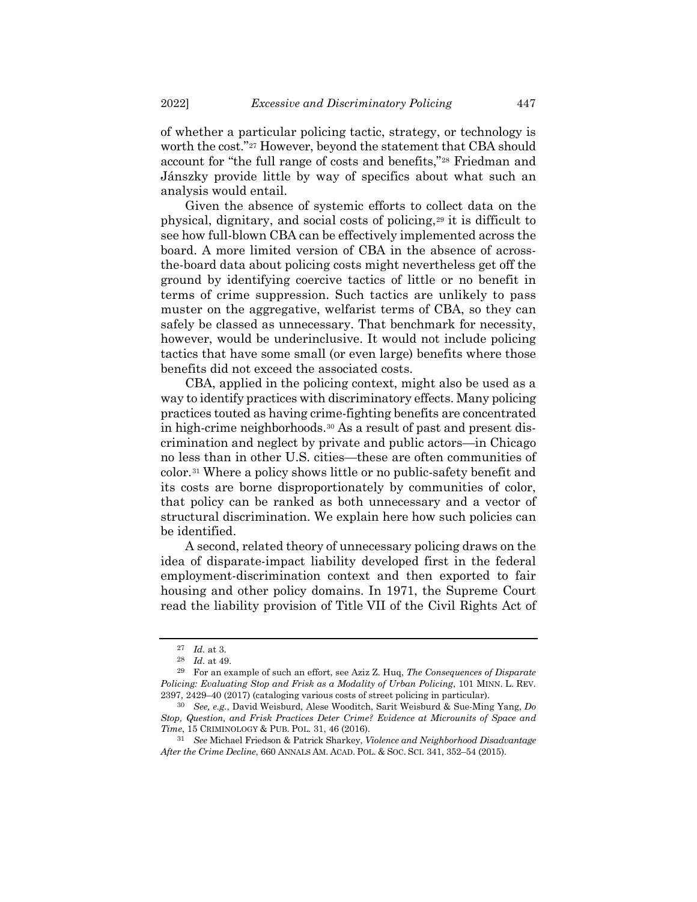of whether a particular policing tactic, strategy, or technology is worth the cost."[27](#page-6-0) However, beyond the statement that CBA should account for "the full range of costs and benefits,"[28](#page-6-1) Friedman and Jánszky provide little by way of specifics about what such an analysis would entail.

Given the absence of systemic efforts to collect data on the physical, dignitary, and social costs of policing[,29](#page-6-2) it is difficult to see how full-blown CBA can be effectively implemented across the board. A more limited version of CBA in the absence of acrossthe-board data about policing costs might nevertheless get off the ground by identifying coercive tactics of little or no benefit in terms of crime suppression. Such tactics are unlikely to pass muster on the aggregative, welfarist terms of CBA, so they can safely be classed as unnecessary. That benchmark for necessity, however, would be underinclusive. It would not include policing tactics that have some small (or even large) benefits where those benefits did not exceed the associated costs.

CBA, applied in the policing context, might also be used as a way to identify practices with discriminatory effects. Many policing practices touted as having crime-fighting benefits are concentrated in high-crime neighborhoods.[30](#page-6-3) As a result of past and present discrimination and neglect by private and public actors—in Chicago no less than in other U.S. cities—these are often communities of color.[31](#page-6-4) Where a policy shows little or no public-safety benefit and its costs are borne disproportionately by communities of color, that policy can be ranked as both unnecessary and a vector of structural discrimination. We explain here how such policies can be identified.

A second, related theory of unnecessary policing draws on the idea of disparate-impact liability developed first in the federal employment-discrimination context and then exported to fair housing and other policy domains. In 1971, the Supreme Court read the liability provision of Title VII of the Civil Rights Act of

<sup>27</sup> *Id.* at 3.

<sup>28</sup> *Id.* at 49.

<span id="page-6-2"></span><span id="page-6-1"></span><span id="page-6-0"></span><sup>29</sup> For an example of such an effort, see Aziz Z. Huq, *The Consequences of Disparate Policing: Evaluating Stop and Frisk as a Modality of Urban Policing*, 101 MINN. L. REV. 2397, 2429–40 (2017) (cataloging various costs of street policing in particular).

<span id="page-6-3"></span><sup>30</sup> *See, e.g.*, David Weisburd, Alese Wooditch, Sarit Weisburd & Sue-Ming Yang, *Do Stop, Question, and Frisk Practices Deter Crime? Evidence at Microunits of Space and Time*, 15 CRIMINOLOGY & PUB. POL. 31, 46 (2016).

<span id="page-6-4"></span><sup>31</sup> *See* Michael Friedson & Patrick Sharkey, *Violence and Neighborhood Disadvantage After the Crime Decline*, 660 ANNALS AM. ACAD. POL. & SOC. SCI. 341, 352–54 (2015).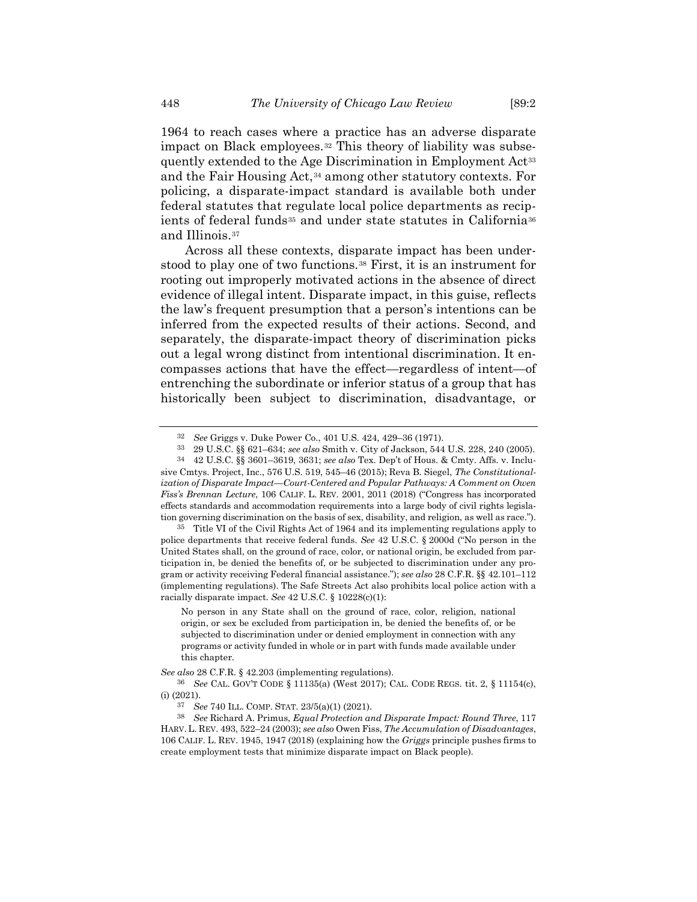1964 to reach cases where a practice has an adverse disparate impact on Black employees.[32](#page-7-0) This theory of liability was subse-quently extended to the Age Discrimination in Employment Act<sup>[33](#page-7-1)</sup> and the Fair Housing Act,[34](#page-7-2) among other statutory contexts. For policing, a disparate-impact standard is available both under federal statutes that regulate local police departments as recip-ients of federal funds<sup>[35](#page-7-3)</sup> and under state statutes in California<sup>[36](#page-7-4)</sup> and Illinois.[37](#page-7-5)

<span id="page-7-7"></span>Across all these contexts, disparate impact has been understood to play one of two functions.[38](#page-7-6) First, it is an instrument for rooting out improperly motivated actions in the absence of direct evidence of illegal intent. Disparate impact, in this guise, reflects the law's frequent presumption that a person's intentions can be inferred from the expected results of their actions. Second, and separately, the disparate-impact theory of discrimination picks out a legal wrong distinct from intentional discrimination. It encompasses actions that have the effect—regardless of intent—of entrenching the subordinate or inferior status of a group that has historically been subject to discrimination, disadvantage, or

<span id="page-7-3"></span>35 Title VI of the Civil Rights Act of 1964 and its implementing regulations apply to police departments that receive federal funds. *See* 42 U.S.C. § 2000d ("No person in the United States shall, on the ground of race, color, or national origin, be excluded from participation in, be denied the benefits of, or be subjected to discrimination under any program or activity receiving Federal financial assistance."); *see also* 28 C.F.R. §§ 42.101–112 (implementing regulations). The Safe Streets Act also prohibits local police action with a racially disparate impact. *See* 42 U.S.C. § 10228(c)(1):

No person in any State shall on the ground of race, color, religion, national origin, or sex be excluded from participation in, be denied the benefits of, or be subjected to discrimination under or denied employment in connection with any programs or activity funded in whole or in part with funds made available under this chapter.

*See also* 28 C.F.R. § 42.203 (implementing regulations).

<sup>32</sup> *See* Griggs v. Duke Power Co., 401 U.S. 424, 429–36 (1971).

<sup>33</sup> 29 U.S.C. §§ 621–634; *see also* Smith v. City of Jackson, 544 U.S. 228, 240 (2005).

<span id="page-7-2"></span><span id="page-7-1"></span><span id="page-7-0"></span><sup>34</sup> 42 U.S.C. §§ 3601–3619, 3631; *see also* Tex. Dep't of Hous. & Cmty. Affs. v. Inclusive Cmtys. Project, Inc., 576 U.S. 519, 545–46 (2015); Reva B. Siegel, *The Constitutionalization of Disparate Impact—Court-Centered and Popular Pathways: A Comment on Owen Fiss's Brennan Lecture*, 106 CALIF. L. REV. 2001, 2011 (2018) ("Congress has incorporated effects standards and accommodation requirements into a large body of civil rights legislation governing discrimination on the basis of sex, disability, and religion, as well as race.").

<span id="page-7-4"></span><sup>36</sup> *See* CAL. GOV'T CODE § 11135(a) (West 2017); CAL. CODE REGS. tit. 2, § 11154(c), (i) (2021).

<sup>37</sup> *See* 740 ILL. COMP. STAT. 23/5(a)(1) (2021).

<span id="page-7-6"></span><span id="page-7-5"></span><sup>38</sup> *See* Richard A. Primus, *Equal Protection and Disparate Impact: Round Three*, 117 HARV. L. REV. 493, 522–24 (2003); *see also* Owen Fiss, *The Accumulation of Disadvantages*, 106 CALIF. L. REV. 1945, 1947 (2018) (explaining how the *Griggs* principle pushes firms to create employment tests that minimize disparate impact on Black people).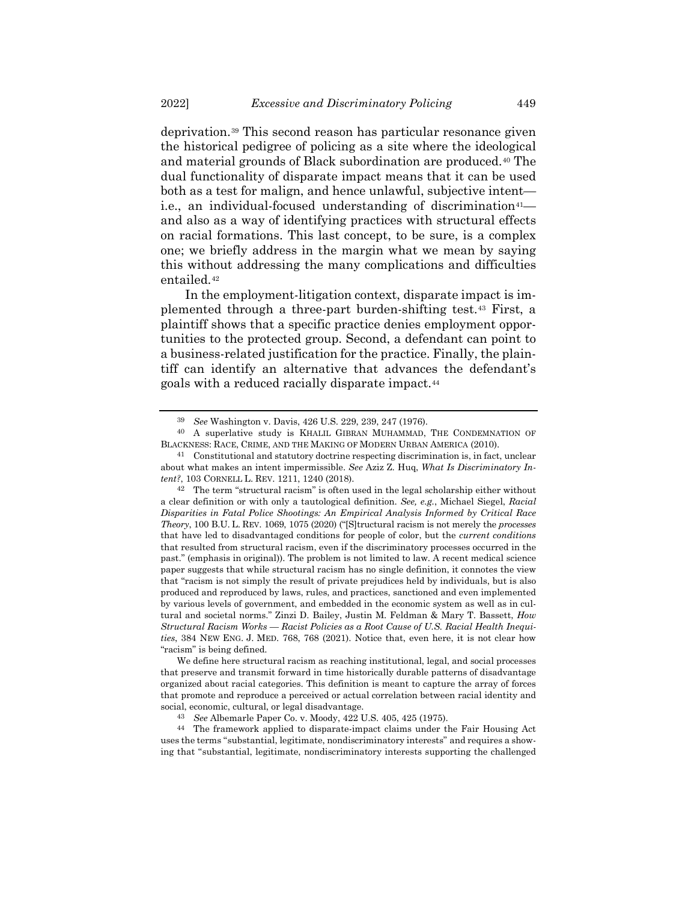deprivation.[39](#page-8-0) This second reason has particular resonance given the historical pedigree of policing as a site where the ideological and material grounds of Black subordination are produced.[40](#page-8-1) The dual functionality of disparate impact means that it can be used both as a test for malign, and hence unlawful, subjective intent i.e., an individual-focused understanding of discrimination<sup>41</sup> and also as a way of identifying practices with structural effects on racial formations. This last concept, to be sure, is a complex one; we briefly address in the margin what we mean by saying this without addressing the many complications and difficulties entailed.[42](#page-8-3)

In the employment-litigation context, disparate impact is implemented through a three-part burden-shifting test.[43](#page-8-4) First, a plaintiff shows that a specific practice denies employment opportunities to the protected group. Second, a defendant can point to a business-related justification for the practice. Finally, the plaintiff can identify an alternative that advances the defendant's goals with a reduced racially disparate impact.[44](#page-8-5)

<span id="page-8-5"></span><span id="page-8-4"></span>44 The framework applied to disparate-impact claims under the Fair Housing Act uses the terms "substantial, legitimate, nondiscriminatory interests" and requires a showing that "substantial, legitimate, nondiscriminatory interests supporting the challenged

<sup>39</sup> *See* Washington v. Davis, 426 U.S. 229, 239, 247 (1976).

<span id="page-8-1"></span><span id="page-8-0"></span><sup>40</sup> A superlative study is KHALIL GIBRAN MUHAMMAD, THE CONDEMNATION OF BLACKNESS: RACE, CRIME, AND THE MAKING OF MODERN URBAN AMERICA (2010).

<span id="page-8-2"></span><sup>41</sup> Constitutional and statutory doctrine respecting discrimination is, in fact, unclear about what makes an intent impermissible. *See* Aziz Z. Huq, *What Is Discriminatory Intent?*, 103 CORNELL L. REV. 1211, 1240 (2018).

<span id="page-8-3"></span><sup>42</sup> The term "structural racism" is often used in the legal scholarship either without a clear definition or with only a tautological definition. *See, e.g.*, Michael Siegel, *Racial Disparities in Fatal Police Shootings: An Empirical Analysis Informed by Critical Race Theory*, 100 B.U. L. REV. 1069, 1075 (2020) ("[S]tructural racism is not merely the *processes* that have led to disadvantaged conditions for people of color, but the *current conditions* that resulted from structural racism, even if the discriminatory processes occurred in the past." (emphasis in original)). The problem is not limited to law. A recent medical science paper suggests that while structural racism has no single definition, it connotes the view that "racism is not simply the result of private prejudices held by individuals, but is also produced and reproduced by laws, rules, and practices, sanctioned and even implemented by various levels of government, and embedded in the economic system as well as in cultural and societal norms." Zinzi D. Bailey, Justin M. Feldman & Mary T. Bassett, *How Structural Racism Works — Racist Policies as a Root Cause of U.S. Racial Health Inequities*, 384 NEW ENG. J. MED. 768, 768 (2021). Notice that, even here, it is not clear how "racism" is being defined.

We define here structural racism as reaching institutional, legal, and social processes that preserve and transmit forward in time historically durable patterns of disadvantage organized about racial categories. This definition is meant to capture the array of forces that promote and reproduce a perceived or actual correlation between racial identity and social, economic, cultural, or legal disadvantage.

<sup>43</sup> *See* Albemarle Paper Co. v. Moody, 422 U.S. 405, 425 (1975).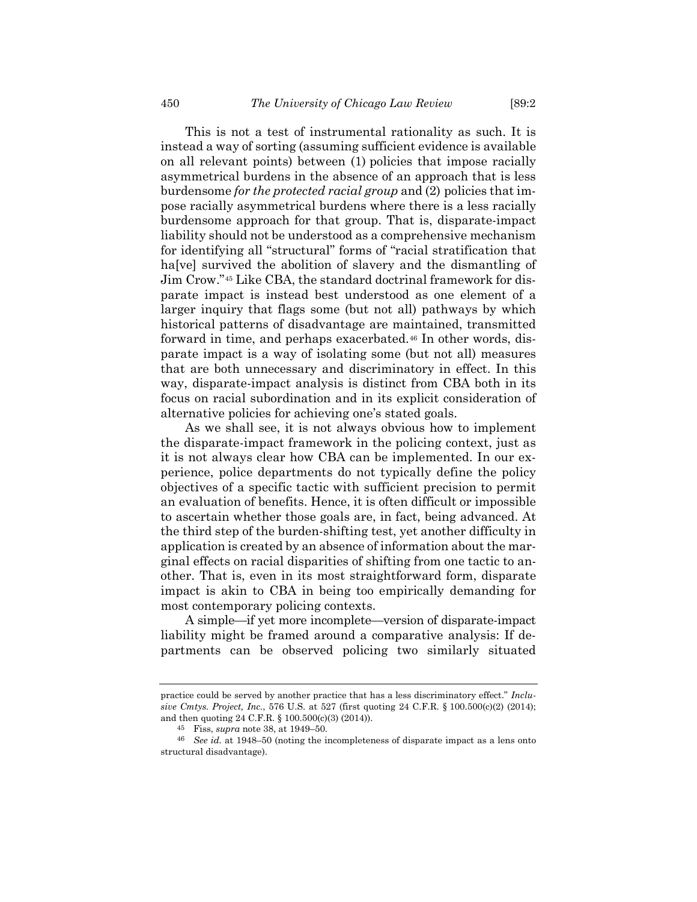This is not a test of instrumental rationality as such. It is instead a way of sorting (assuming sufficient evidence is available on all relevant points) between (1) policies that impose racially asymmetrical burdens in the absence of an approach that is less burdensome *for the protected racial group* and (2) policies that impose racially asymmetrical burdens where there is a less racially burdensome approach for that group. That is, disparate-impact liability should not be understood as a comprehensive mechanism for identifying all "structural" forms of "racial stratification that ha<sup>[ve]</sup> survived the abolition of slavery and the dismantling of Jim Crow."[45](#page-9-0) Like CBA, the standard doctrinal framework for disparate impact is instead best understood as one element of a larger inquiry that flags some (but not all) pathways by which historical patterns of disadvantage are maintained, transmitted forward in time, and perhaps exacerbated.[46](#page-9-1) In other words, disparate impact is a way of isolating some (but not all) measures that are both unnecessary and discriminatory in effect. In this way, disparate-impact analysis is distinct from CBA both in its focus on racial subordination and in its explicit consideration of alternative policies for achieving one's stated goals.

As we shall see, it is not always obvious how to implement the disparate-impact framework in the policing context, just as it is not always clear how CBA can be implemented. In our experience, police departments do not typically define the policy objectives of a specific tactic with sufficient precision to permit an evaluation of benefits. Hence, it is often difficult or impossible to ascertain whether those goals are, in fact, being advanced. At the third step of the burden-shifting test, yet another difficulty in application is created by an absence of information about the marginal effects on racial disparities of shifting from one tactic to another. That is, even in its most straightforward form, disparate impact is akin to CBA in being too empirically demanding for most contemporary policing contexts.

A simple—if yet more incomplete—version of disparate-impact liability might be framed around a comparative analysis: If departments can be observed policing two similarly situated

practice could be served by another practice that has a less discriminatory effect." *Inclusive Cmtys. Project, Inc.*, 576 U.S. at 527 (first quoting 24 C.F.R. § 100.500(c)(2) (2014); and then quoting 24 C.F.R. § 100.500(c)(3) (2014)).

<sup>45</sup> Fiss, *supra* note [38,](#page-7-7) at 1949–50.

<span id="page-9-1"></span><span id="page-9-0"></span><sup>46</sup> *See id.* at 1948–50 (noting the incompleteness of disparate impact as a lens onto structural disadvantage).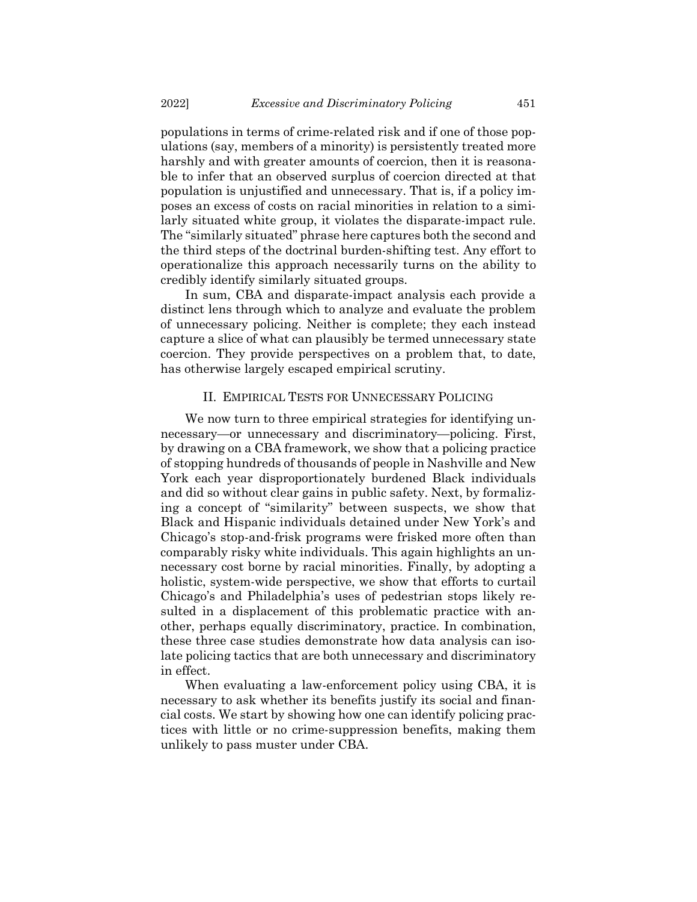populations in terms of crime-related risk and if one of those populations (say, members of a minority) is persistently treated more harshly and with greater amounts of coercion, then it is reasonable to infer that an observed surplus of coercion directed at that population is unjustified and unnecessary. That is, if a policy imposes an excess of costs on racial minorities in relation to a similarly situated white group, it violates the disparate-impact rule. The "similarly situated" phrase here captures both the second and the third steps of the doctrinal burden-shifting test. Any effort to operationalize this approach necessarily turns on the ability to credibly identify similarly situated groups.

In sum, CBA and disparate-impact analysis each provide a distinct lens through which to analyze and evaluate the problem of unnecessary policing. Neither is complete; they each instead capture a slice of what can plausibly be termed unnecessary state coercion. They provide perspectives on a problem that, to date, has otherwise largely escaped empirical scrutiny.

### II. EMPIRICAL TESTS FOR UNNECESSARY POLICING

We now turn to three empirical strategies for identifying unnecessary—or unnecessary and discriminatory—policing. First, by drawing on a CBA framework, we show that a policing practice of stopping hundreds of thousands of people in Nashville and New York each year disproportionately burdened Black individuals and did so without clear gains in public safety. Next, by formalizing a concept of "similarity" between suspects, we show that Black and Hispanic individuals detained under New York's and Chicago's stop-and-frisk programs were frisked more often than comparably risky white individuals. This again highlights an unnecessary cost borne by racial minorities. Finally, by adopting a holistic, system-wide perspective, we show that efforts to curtail Chicago's and Philadelphia's uses of pedestrian stops likely resulted in a displacement of this problematic practice with another, perhaps equally discriminatory, practice. In combination, these three case studies demonstrate how data analysis can isolate policing tactics that are both unnecessary and discriminatory in effect.

When evaluating a law-enforcement policy using CBA, it is necessary to ask whether its benefits justify its social and financial costs. We start by showing how one can identify policing practices with little or no crime-suppression benefits, making them unlikely to pass muster under CBA.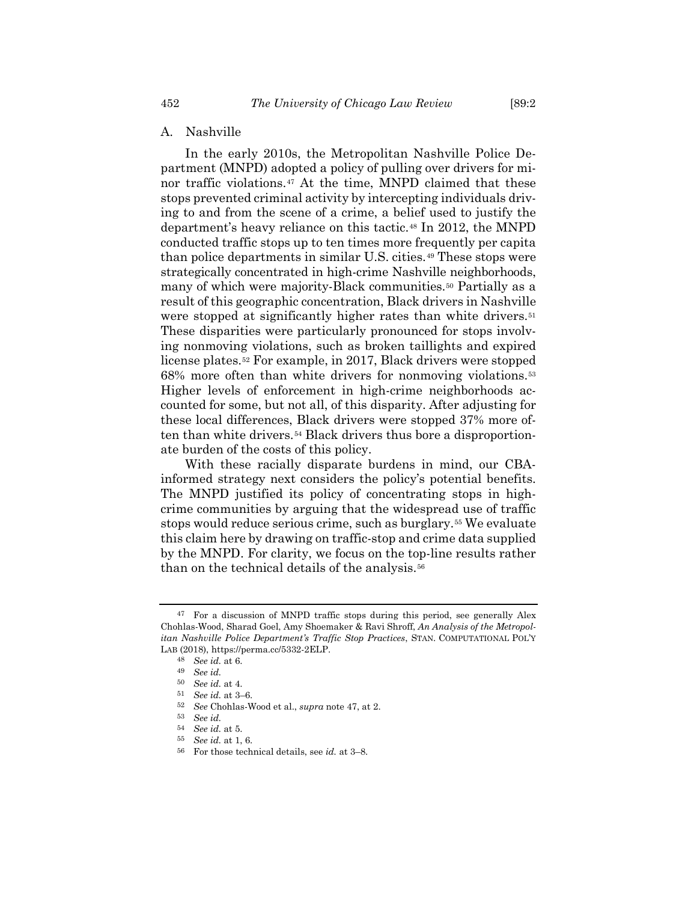### A. Nashville

<span id="page-11-0"></span>In the early 2010s, the Metropolitan Nashville Police Department (MNPD) adopted a policy of pulling over drivers for minor traffic violations.[47](#page-11-1) At the time, MNPD claimed that these stops prevented criminal activity by intercepting individuals driving to and from the scene of a crime, a belief used to justify the department's heavy reliance on this tactic.[48](#page-11-2) In 2012, the MNPD conducted traffic stops up to ten times more frequently per capita than police departments in similar U.S. cities.<sup>[49](#page-11-3)</sup> These stops were strategically concentrated in high-crime Nashville neighborhoods, many of which were majority-Black communities.<sup>[50](#page-11-4)</sup> Partially as a result of this geographic concentration, Black drivers in Nashville were stopped at significantly higher rates than white drivers.<sup>[51](#page-11-5)</sup> These disparities were particularly pronounced for stops involving nonmoving violations, such as broken taillights and expired license plates.[52](#page-11-6) For example, in 2017, Black drivers were stopped 68% more often than white drivers for nonmoving violations.[53](#page-11-7) Higher levels of enforcement in high-crime neighborhoods accounted for some, but not all, of this disparity. After adjusting for these local differences, Black drivers were stopped 37% more often than white drivers.[54](#page-11-8) Black drivers thus bore a disproportionate burden of the costs of this policy.

With these racially disparate burdens in mind, our CBAinformed strategy next considers the policy's potential benefits. The MNPD justified its policy of concentrating stops in highcrime communities by arguing that the widespread use of traffic stops would reduce serious crime, such as burglary.[55](#page-11-9) We evaluate this claim here by drawing on traffic-stop and crime data supplied by the MNPD. For clarity, we focus on the top-line results rather than on the technical details of the analysis.[56](#page-11-10)

<span id="page-11-4"></span><span id="page-11-3"></span><span id="page-11-2"></span><span id="page-11-1"></span><sup>47</sup> For a discussion of MNPD traffic stops during this period, see generally Alex Chohlas-Wood, Sharad Goel, Amy Shoemaker & Ravi Shroff, *An Analysis of the Metropolitan Nashville Police Department's Traffic Stop Practices*, STAN. COMPUTATIONAL POL'Y LAB (2018), https://perma.cc/5332-2ELP.

<sup>48</sup> *See id.* at 6.

<sup>49</sup> *See id.*

<sup>50</sup> *See id.* at 4.

<span id="page-11-6"></span><span id="page-11-5"></span><sup>51</sup> *See id.* at 3–6.

<sup>52</sup> *See* Chohlas-Wood et al., *supra* not[e 47,](#page-11-0) at 2.

<span id="page-11-7"></span><sup>53</sup> *See id.*

<sup>54</sup> *See id.* at 5.

<span id="page-11-9"></span><span id="page-11-8"></span><sup>55</sup> *See id.* at 1, 6.

<span id="page-11-10"></span><sup>56</sup> For those technical details, see *id.* at 3–8.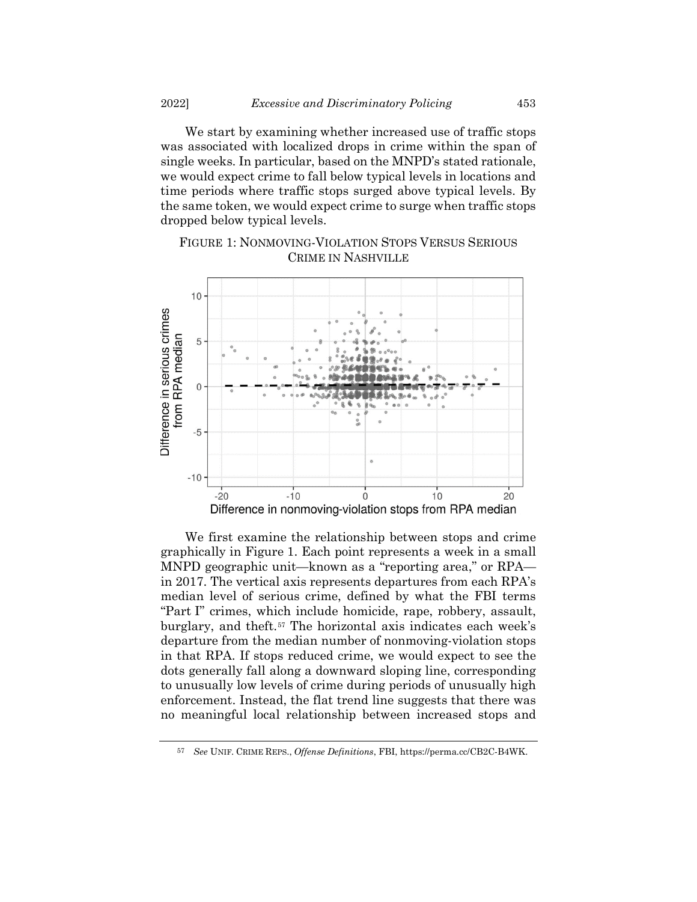We start by examining whether increased use of traffic stops was associated with localized drops in crime within the span of single weeks. In particular, based on the MNPD's stated rationale, we would expect crime to fall below typical levels in locations and time periods where traffic stops surged above typical levels. By the same token, we would expect crime to surge when traffic stops dropped below typical levels.



FIGURE 1: NONMOVING-VIOLATION STOPS VERSUS SERIOUS CRIME IN NASHVILLE

We first examine the relationship between stops and crime graphically in Figure 1. Each point represents a week in a small MNPD geographic unit—known as a "reporting area," or RPA in 2017. The vertical axis represents departures from each RPA's median level of serious crime, defined by what the FBI terms "Part I" crimes, which include homicide, rape, robbery, assault, burglary, and theft.[57](#page-12-0) The horizontal axis indicates each week's departure from the median number of nonmoving-violation stops in that RPA. If stops reduced crime, we would expect to see the dots generally fall along a downward sloping line, corresponding to unusually low levels of crime during periods of unusually high enforcement. Instead, the flat trend line suggests that there was no meaningful local relationship between increased stops and

<span id="page-12-0"></span><sup>57</sup> *See* UNIF. CRIME REPS., *Offense Definitions*, FBI, https://perma.cc/CB2C-B4WK.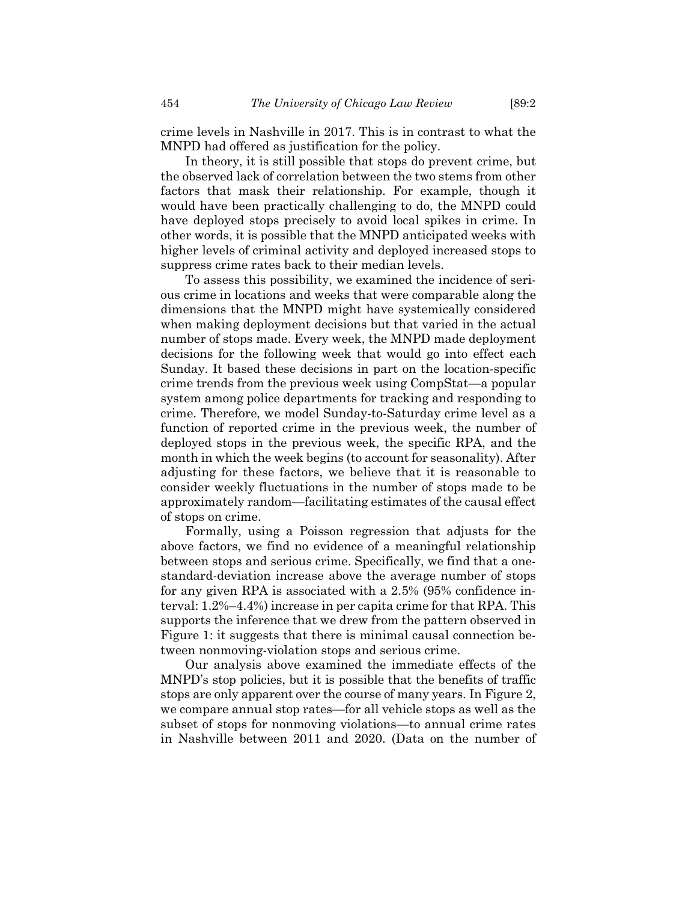crime levels in Nashville in 2017. This is in contrast to what the MNPD had offered as justification for the policy.

In theory, it is still possible that stops do prevent crime, but the observed lack of correlation between the two stems from other factors that mask their relationship. For example, though it would have been practically challenging to do, the MNPD could have deployed stops precisely to avoid local spikes in crime. In other words, it is possible that the MNPD anticipated weeks with higher levels of criminal activity and deployed increased stops to suppress crime rates back to their median levels.

To assess this possibility, we examined the incidence of serious crime in locations and weeks that were comparable along the dimensions that the MNPD might have systemically considered when making deployment decisions but that varied in the actual number of stops made. Every week, the MNPD made deployment decisions for the following week that would go into effect each Sunday. It based these decisions in part on the location-specific crime trends from the previous week using CompStat—a popular system among police departments for tracking and responding to crime. Therefore, we model Sunday-to-Saturday crime level as a function of reported crime in the previous week, the number of deployed stops in the previous week, the specific RPA, and the month in which the week begins (to account for seasonality). After adjusting for these factors, we believe that it is reasonable to consider weekly fluctuations in the number of stops made to be approximately random—facilitating estimates of the causal effect of stops on crime.

Formally, using a Poisson regression that adjusts for the above factors, we find no evidence of a meaningful relationship between stops and serious crime. Specifically, we find that a onestandard-deviation increase above the average number of stops for any given RPA is associated with a 2.5% (95% confidence interval: 1.2%–4.4%) increase in per capita crime for that RPA. This supports the inference that we drew from the pattern observed in Figure 1: it suggests that there is minimal causal connection between nonmoving-violation stops and serious crime.

Our analysis above examined the immediate effects of the MNPD's stop policies, but it is possible that the benefits of traffic stops are only apparent over the course of many years. In Figure 2, we compare annual stop rates—for all vehicle stops as well as the subset of stops for nonmoving violations—to annual crime rates in Nashville between 2011 and 2020. (Data on the number of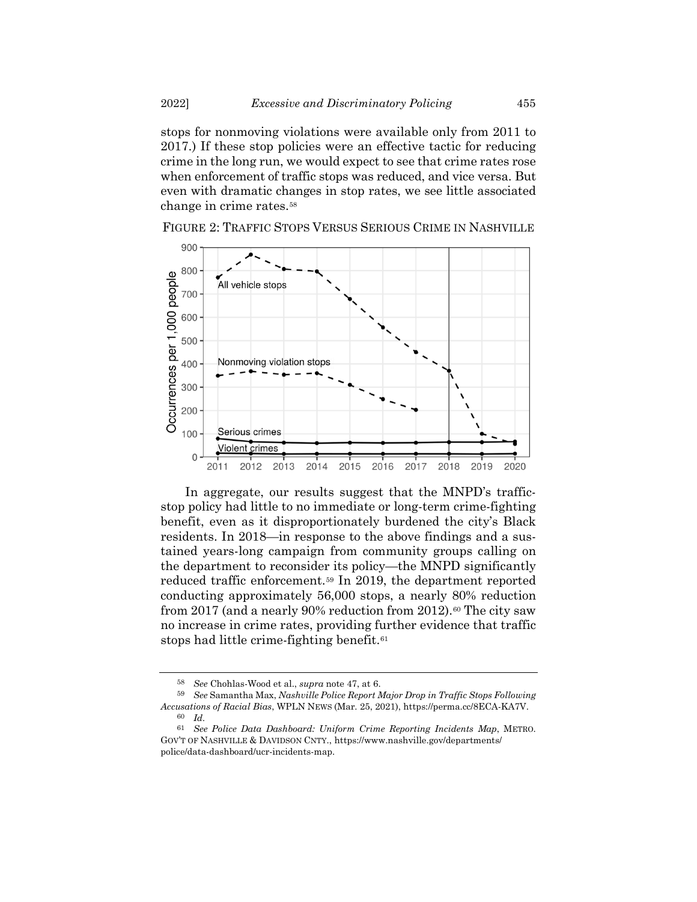stops for nonmoving violations were available only from 2011 to 2017.) If these stop policies were an effective tactic for reducing crime in the long run, we would expect to see that crime rates rose when enforcement of traffic stops was reduced, and vice versa. But even with dramatic changes in stop rates, we see little associated change in crime rates.<sup>[58](#page-14-0)</sup>



FIGURE 2: TRAFFIC STOPS VERSUS SERIOUS CRIME IN NASHVILLE

In aggregate, our results suggest that the MNPD's trafficstop policy had little to no immediate or long-term crime-fighting benefit, even as it disproportionately burdened the city's Black residents. In 2018—in response to the above findings and a sustained years-long campaign from community groups calling on the department to reconsider its policy—the MNPD significantly reduced traffic enforcement.[59](#page-14-1) In 2019, the department reported conducting approximately 56,000 stops, a nearly 80% reduction from 2017 (and a nearly 90% reduction from 2012).<sup>[60](#page-14-2)</sup> The city saw no increase in crime rates, providing further evidence that traffic stops had little crime-fighting benefit.[61](#page-14-3)

<sup>58</sup> *See* Chohlas-Wood et al., *supra* not[e 47,](#page-11-0) at 6.

<span id="page-14-1"></span><span id="page-14-0"></span><sup>59</sup> *See* Samantha Max, *Nashville Police Report Major Drop in Traffic Stops Following Accusations of Racial Bias*, WPLN NEWS (Mar. 25, 2021), https://perma.cc/8ECA-KA7V.

<sup>60</sup> *Id.*

<span id="page-14-3"></span><span id="page-14-2"></span><sup>61</sup> *See Police Data Dashboard: Uniform Crime Reporting Incidents Map*, METRO. GOV'T OF NASHVILLE & DAVIDSON CNTY., https://www.nashville.gov/departments/ police/data-dashboard/ucr-incidents-map.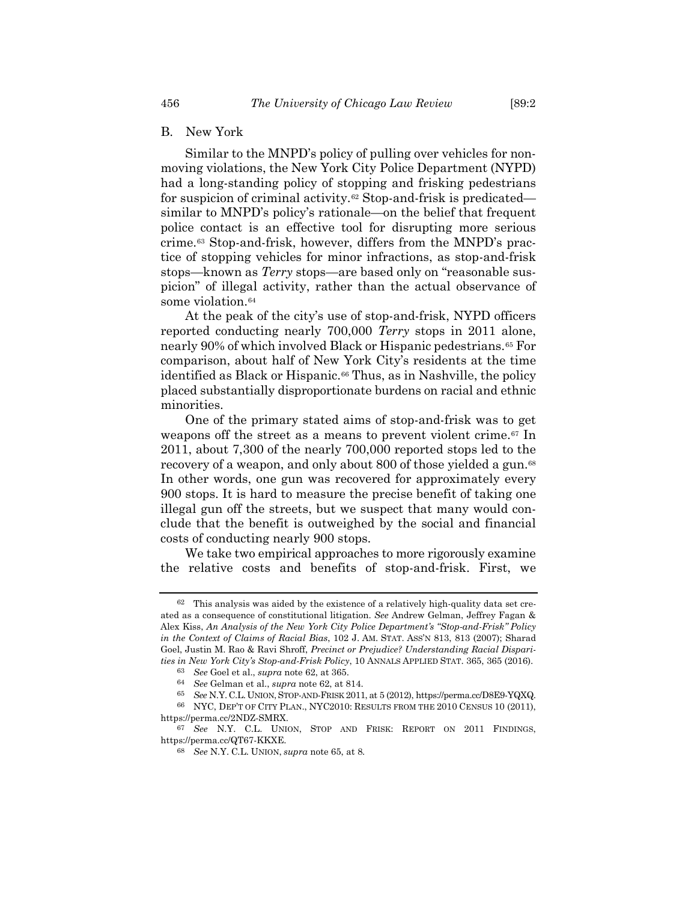# B. New York

<span id="page-15-0"></span>Similar to the MNPD's policy of pulling over vehicles for nonmoving violations, the New York City Police Department (NYPD) had a long-standing policy of stopping and frisking pedestrians for suspicion of criminal activity.[62](#page-15-2) Stop-and-frisk is predicated similar to MNPD's policy's rationale—on the belief that frequent police contact is an effective tool for disrupting more serious crime.[63](#page-15-3) Stop-and-frisk, however, differs from the MNPD's practice of stopping vehicles for minor infractions, as stop-and-frisk stops—known as *Terry* stops—are based only on "reasonable suspicion" of illegal activity, rather than the actual observance of some violation.<sup>[64](#page-15-4)</sup>

<span id="page-15-1"></span>At the peak of the city's use of stop-and-frisk, NYPD officers reported conducting nearly 700,000 *Terry* stops in 2011 alone, nearly 90% of which involved Black or Hispanic pedestrians.[65](#page-15-5) For comparison, about half of New York City's residents at the time identified as Black or Hispanic.<sup>[66](#page-15-6)</sup> Thus, as in Nashville, the policy placed substantially disproportionate burdens on racial and ethnic minorities.

One of the primary stated aims of stop-and-frisk was to get weapons off the street as a means to prevent violent crime.<sup>[67](#page-15-7)</sup> In 2011, about 7,300 of the nearly 700,000 reported stops led to the recovery of a weapon, and only about 800 of those yielded a gun.<sup>[68](#page-15-8)</sup> In other words, one gun was recovered for approximately every 900 stops. It is hard to measure the precise benefit of taking one illegal gun off the streets, but we suspect that many would conclude that the benefit is outweighed by the social and financial costs of conducting nearly 900 stops.

We take two empirical approaches to more rigorously examine the relative costs and benefits of stop-and-frisk. First, we

<span id="page-15-2"></span> $62$  This analysis was aided by the existence of a relatively high-quality data set created as a consequence of constitutional litigation. *See* Andrew Gelman, Jeffrey Fagan & Alex Kiss, *An Analysis of the New York City Police Department's "Stop-and-Frisk" Policy in the Context of Claims of Racial Bias*, 102 J. AM. STAT. ASS'N 813, 813 (2007); Sharad Goel, Justin M. Rao & Ravi Shroff, *Precinct or Prejudice? Understanding Racial Disparities in New York City's Stop-and-Frisk Policy*, 10 ANNALS APPLIED STAT. 365, 365 (2016).

<sup>63</sup> *See* Goel et al., *supra* note [62,](#page-15-0) at 365.

<sup>64</sup> *See* Gelman et al., *supra* not[e 62,](#page-15-0) at 814.

<sup>65</sup> *See* N.Y. C.L. UNION,STOP-AND-FRISK 2011, at 5 (2012), https://perma.cc/D8E9-YQXQ.

<span id="page-15-6"></span><span id="page-15-5"></span><span id="page-15-4"></span><span id="page-15-3"></span><sup>66</sup> NYC, DEP'T OF CITY PLAN., NYC2010: RESULTS FROM THE 2010 CENSUS 10 (2011), https://perma.cc/2NDZ-SMRX.

<span id="page-15-8"></span><span id="page-15-7"></span><sup>67</sup> *See* N.Y. C.L. UNION, STOP AND FRISK: REPORT ON 2011 FINDINGS, https://perma.cc/QT67-KKXE.

<sup>68</sup> *See* N.Y. C.L. UNION, *supra* note [65,](#page-15-1) at 8.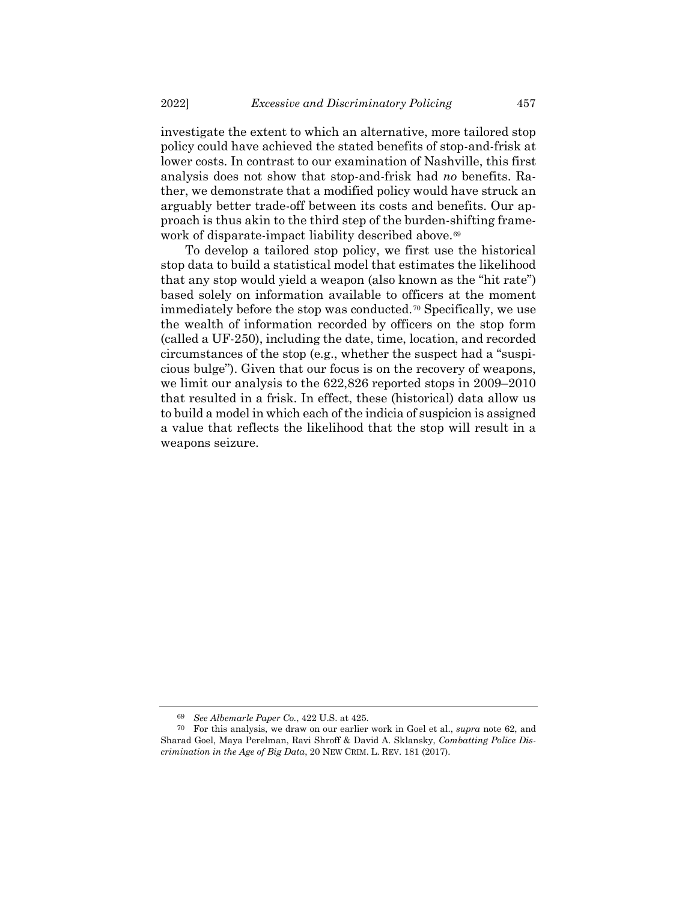investigate the extent to which an alternative, more tailored stop policy could have achieved the stated benefits of stop-and-frisk at lower costs. In contrast to our examination of Nashville, this first analysis does not show that stop-and-frisk had *no* benefits. Rather, we demonstrate that a modified policy would have struck an arguably better trade-off between its costs and benefits. Our approach is thus akin to the third step of the burden-shifting frame-work of disparate-impact liability described above.<sup>[69](#page-16-0)</sup>

To develop a tailored stop policy, we first use the historical stop data to build a statistical model that estimates the likelihood that any stop would yield a weapon (also known as the "hit rate") based solely on information available to officers at the moment immediately before the stop was conducted.[70](#page-16-1) Specifically, we use the wealth of information recorded by officers on the stop form (called a UF-250), including the date, time, location, and recorded circumstances of the stop (e.g., whether the suspect had a "suspicious bulge"). Given that our focus is on the recovery of weapons, we limit our analysis to the 622,826 reported stops in 2009–2010 that resulted in a frisk. In effect, these (historical) data allow us to build a model in which each of the indicia of suspicion is assigned a value that reflects the likelihood that the stop will result in a weapons seizure.

<sup>69</sup> *See Albemarle Paper Co.*, 422 U.S. at 425.

<span id="page-16-1"></span><span id="page-16-0"></span><sup>70</sup> For this analysis, we draw on our earlier work in Goel et al., *supra* note [62,](#page-15-0) and Sharad Goel, Maya Perelman, Ravi Shroff & David A. Sklansky, *Combatting Police Discrimination in the Age of Big Data*, 20 NEW CRIM. L. REV. 181 (2017).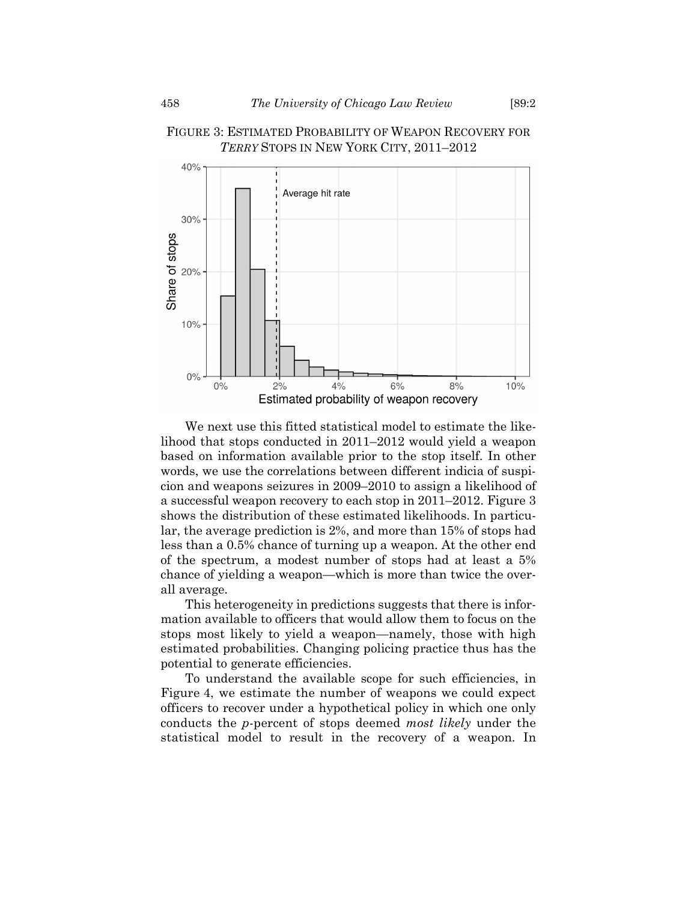

# FIGURE 3: ESTIMATED PROBABILITY OF WEAPON RECOVERY FOR *TERRY* STOPS IN NEW YORK CITY, 2011–2012

We next use this fitted statistical model to estimate the likelihood that stops conducted in 2011–2012 would yield a weapon based on information available prior to the stop itself. In other words, we use the correlations between different indicia of suspicion and weapons seizures in 2009–2010 to assign a likelihood of a successful weapon recovery to each stop in 2011–2012. Figure 3 shows the distribution of these estimated likelihoods. In particular, the average prediction is 2%, and more than 15% of stops had less than a 0.5% chance of turning up a weapon. At the other end of the spectrum, a modest number of stops had at least a 5% chance of yielding a weapon—which is more than twice the overall average.

This heterogeneity in predictions suggests that there is information available to officers that would allow them to focus on the stops most likely to yield a weapon—namely, those with high estimated probabilities. Changing policing practice thus has the potential to generate efficiencies.

To understand the available scope for such efficiencies, in Figure 4, we estimate the number of weapons we could expect officers to recover under a hypothetical policy in which one only conducts the *p*-percent of stops deemed *most likely* under the statistical model to result in the recovery of a weapon. In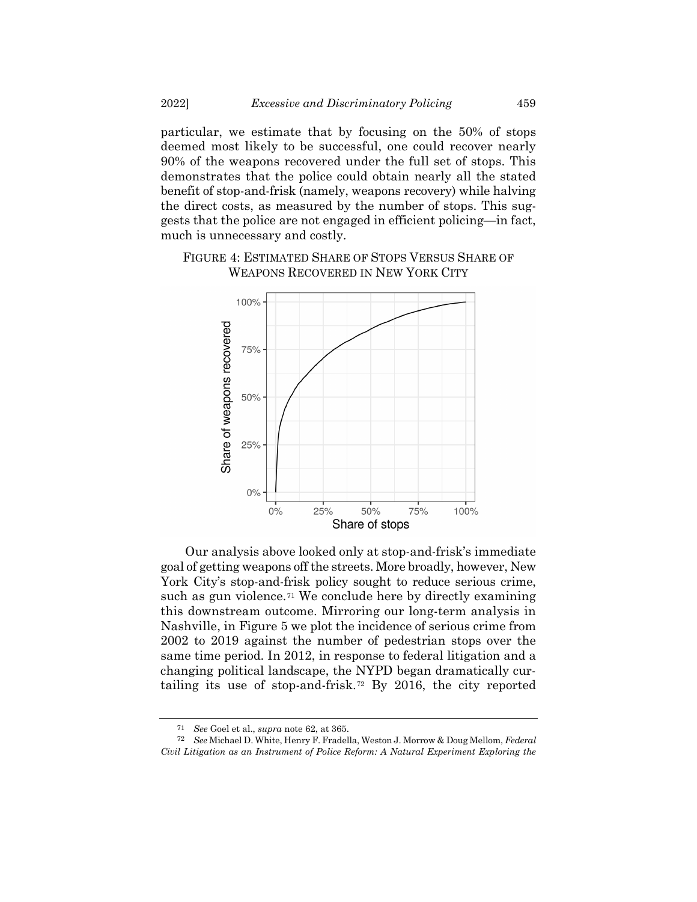particular, we estimate that by focusing on the 50% of stops deemed most likely to be successful, one could recover nearly 90% of the weapons recovered under the full set of stops. This demonstrates that the police could obtain nearly all the stated benefit of stop-and-frisk (namely, weapons recovery) while halving the direct costs, as measured by the number of stops. This suggests that the police are not engaged in efficient policing—in fact, much is unnecessary and costly.





Our analysis above looked only at stop-and-frisk's immediate goal of getting weapons off the streets. More broadly, however, New York City's stop-and-frisk policy sought to reduce serious crime, such as gun violence.<sup>[71](#page-18-0)</sup> We conclude here by directly examining this downstream outcome. Mirroring our long-term analysis in Nashville, in Figure 5 we plot the incidence of serious crime from 2002 to 2019 against the number of pedestrian stops over the same time period. In 2012, in response to federal litigation and a changing political landscape, the NYPD began dramatically curtailing its use of stop-and-frisk.[72](#page-18-1) By 2016, the city reported

<sup>71</sup> *See* Goel et al., *supra* note [62,](#page-15-0) at 365.

<span id="page-18-1"></span><span id="page-18-0"></span><sup>72</sup> *See* Michael D. White, Henry F. Fradella, Weston J. Morrow & Doug Mellom, *Federal Civil Litigation as an Instrument of Police Reform: A Natural Experiment Exploring the*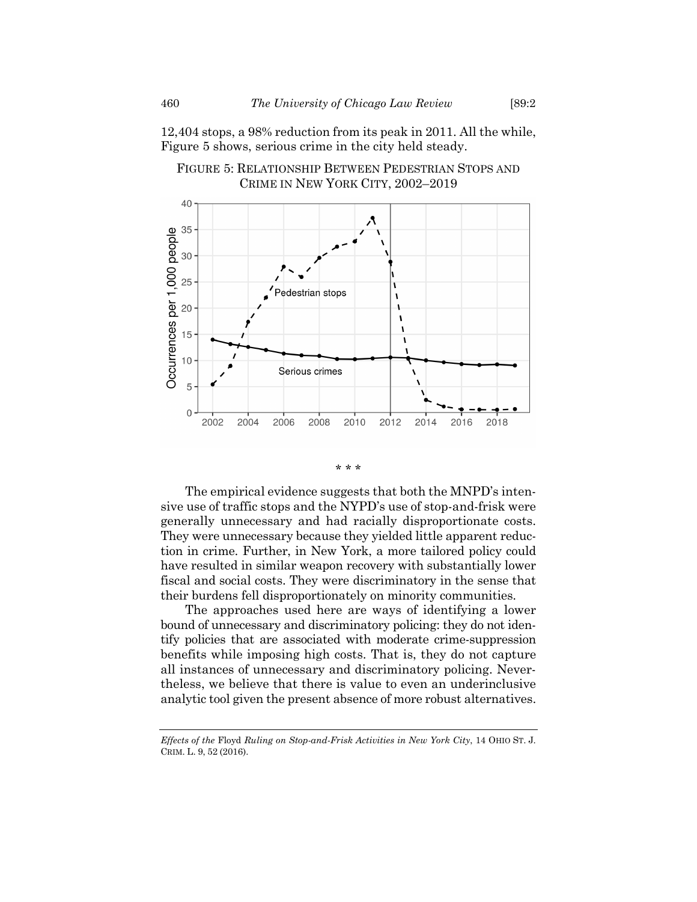12,404 stops, a 98% reduction from its peak in 2011. All the while, Figure 5 shows, serious crime in the city held steady.





#### \* \* \*

The empirical evidence suggests that both the MNPD's intensive use of traffic stops and the NYPD's use of stop-and-frisk were generally unnecessary and had racially disproportionate costs. They were unnecessary because they yielded little apparent reduction in crime. Further, in New York, a more tailored policy could have resulted in similar weapon recovery with substantially lower fiscal and social costs. They were discriminatory in the sense that their burdens fell disproportionately on minority communities.

The approaches used here are ways of identifying a lower bound of unnecessary and discriminatory policing: they do not identify policies that are associated with moderate crime-suppression benefits while imposing high costs. That is, they do not capture all instances of unnecessary and discriminatory policing. Nevertheless, we believe that there is value to even an underinclusive analytic tool given the present absence of more robust alternatives.

*Effects of the* Floyd *Ruling on Stop-and-Frisk Activities in New York City*, 14 OHIO ST. J. CRIM. L. 9, 52 (2016).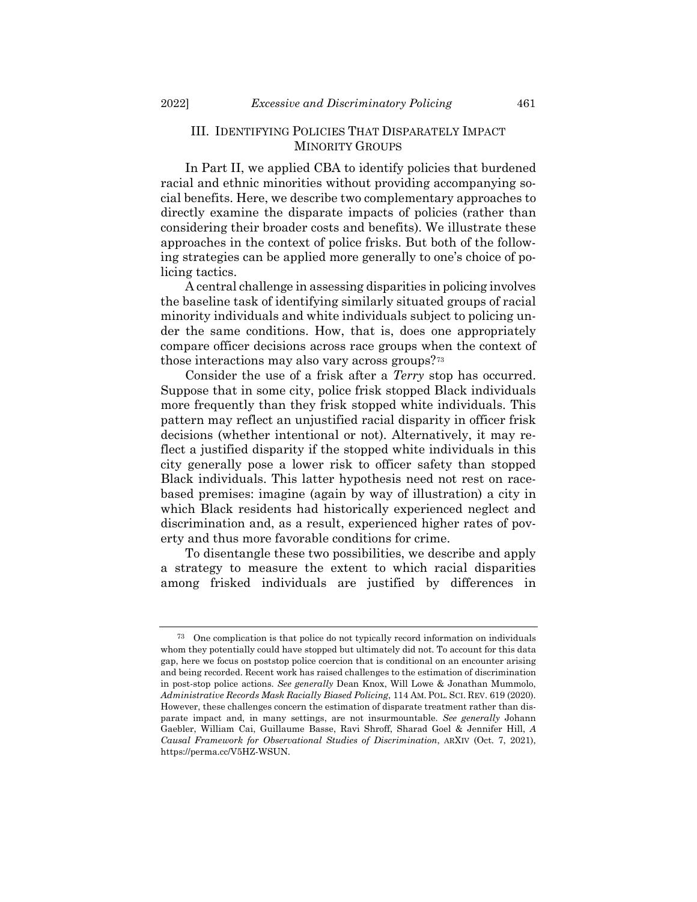# III. IDENTIFYING POLICIES THAT DISPARATELY IMPACT MINORITY GROUPS

In Part II, we applied CBA to identify policies that burdened racial and ethnic minorities without providing accompanying social benefits. Here, we describe two complementary approaches to directly examine the disparate impacts of policies (rather than considering their broader costs and benefits). We illustrate these approaches in the context of police frisks. But both of the following strategies can be applied more generally to one's choice of policing tactics.

A central challenge in assessing disparities in policing involves the baseline task of identifying similarly situated groups of racial minority individuals and white individuals subject to policing under the same conditions. How, that is, does one appropriately compare officer decisions across race groups when the context of those interactions may also vary across groups?[73](#page-20-0)

Consider the use of a frisk after a *Terry* stop has occurred. Suppose that in some city, police frisk stopped Black individuals more frequently than they frisk stopped white individuals. This pattern may reflect an unjustified racial disparity in officer frisk decisions (whether intentional or not). Alternatively, it may reflect a justified disparity if the stopped white individuals in this city generally pose a lower risk to officer safety than stopped Black individuals. This latter hypothesis need not rest on racebased premises: imagine (again by way of illustration) a city in which Black residents had historically experienced neglect and discrimination and, as a result, experienced higher rates of poverty and thus more favorable conditions for crime.

To disentangle these two possibilities, we describe and apply a strategy to measure the extent to which racial disparities among frisked individuals are justified by differences in

<span id="page-20-0"></span><sup>73</sup> One complication is that police do not typically record information on individuals whom they potentially could have stopped but ultimately did not. To account for this data gap, here we focus on poststop police coercion that is conditional on an encounter arising and being recorded. Recent work has raised challenges to the estimation of discrimination in post-stop police actions. *See generally* Dean Knox, Will Lowe & Jonathan Mummolo, *Administrative Records Mask Racially Biased Policing*, 114 AM. POL. SCI. REV. 619 (2020). However, these challenges concern the estimation of disparate treatment rather than disparate impact and, in many settings, are not insurmountable. *See generally* Johann Gaebler, William Cai, Guillaume Basse, Ravi Shroff, Sharad Goel & Jennifer Hill, *A Causal Framework for Observational Studies of Discrimination*, ARXIV (Oct. 7, 2021), https://perma.cc/V5HZ-WSUN.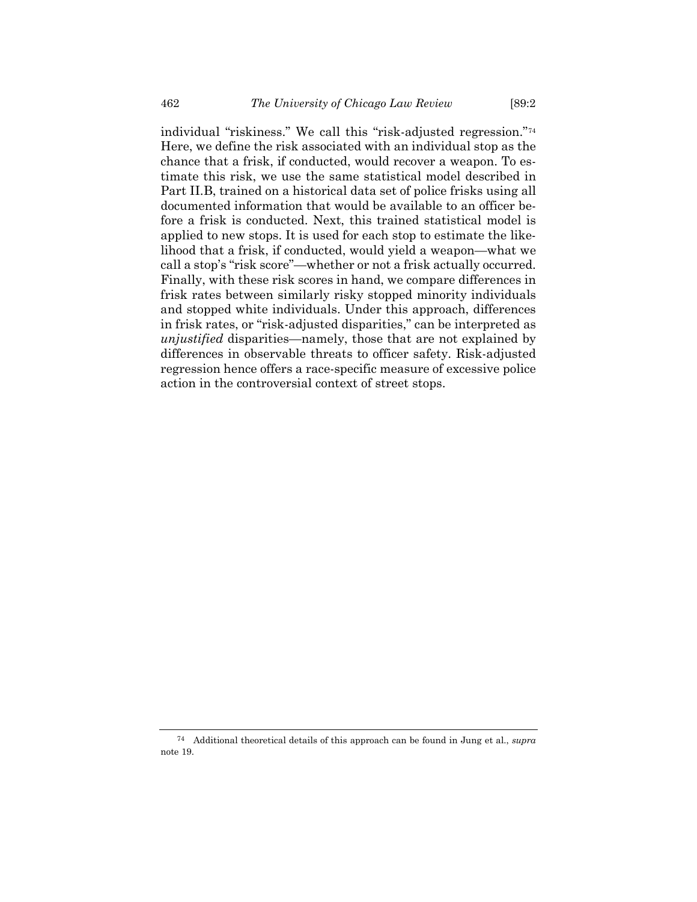individual "riskiness." We call this "risk-adjusted regression."[74](#page-21-0) Here, we define the risk associated with an individual stop as the chance that a frisk, if conducted, would recover a weapon. To estimate this risk, we use the same statistical model described in Part II.B, trained on a historical data set of police frisks using all documented information that would be available to an officer before a frisk is conducted. Next, this trained statistical model is applied to new stops. It is used for each stop to estimate the likelihood that a frisk, if conducted, would yield a weapon—what we call a stop's "risk score"—whether or not a frisk actually occurred. Finally, with these risk scores in hand, we compare differences in frisk rates between similarly risky stopped minority individuals and stopped white individuals. Under this approach, differences in frisk rates, or "risk-adjusted disparities," can be interpreted as *unjustified* disparities—namely, those that are not explained by differences in observable threats to officer safety. Risk-adjusted regression hence offers a race-specific measure of excessive police action in the controversial context of street stops.

<span id="page-21-0"></span><sup>74</sup> Additional theoretical details of this approach can be found in Jung et al., *supra* note [19.](#page-4-3)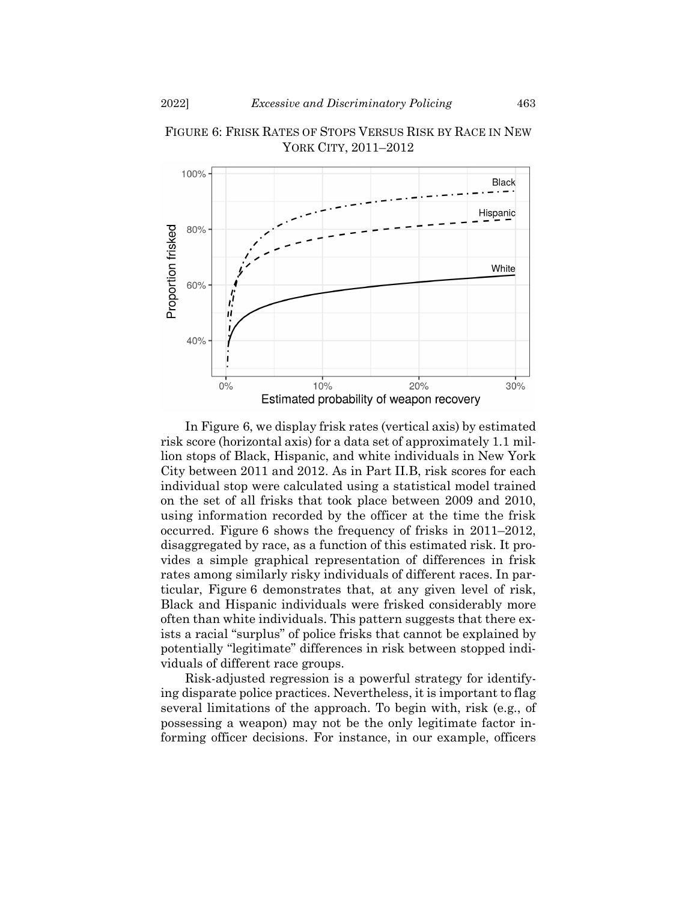

FIGURE 6: FRISK RATES OF STOPS VERSUS RISK BY RACE IN NEW YORK CITY, 2011–2012

In Figure 6, we display frisk rates (vertical axis) by estimated risk score (horizontal axis) for a data set of approximately 1.1 million stops of Black, Hispanic, and white individuals in New York City between 2011 and 2012. As in Part II.B, risk scores for each individual stop were calculated using a statistical model trained on the set of all frisks that took place between 2009 and 2010, using information recorded by the officer at the time the frisk occurred. Figure 6 shows the frequency of frisks in 2011–2012, disaggregated by race, as a function of this estimated risk. It provides a simple graphical representation of differences in frisk rates among similarly risky individuals of different races. In particular, Figure 6 demonstrates that, at any given level of risk, Black and Hispanic individuals were frisked considerably more often than white individuals. This pattern suggests that there exists a racial "surplus" of police frisks that cannot be explained by potentially "legitimate" differences in risk between stopped individuals of different race groups.

Risk-adjusted regression is a powerful strategy for identifying disparate police practices. Nevertheless, it is important to flag several limitations of the approach. To begin with, risk (e.g., of possessing a weapon) may not be the only legitimate factor informing officer decisions. For instance, in our example, officers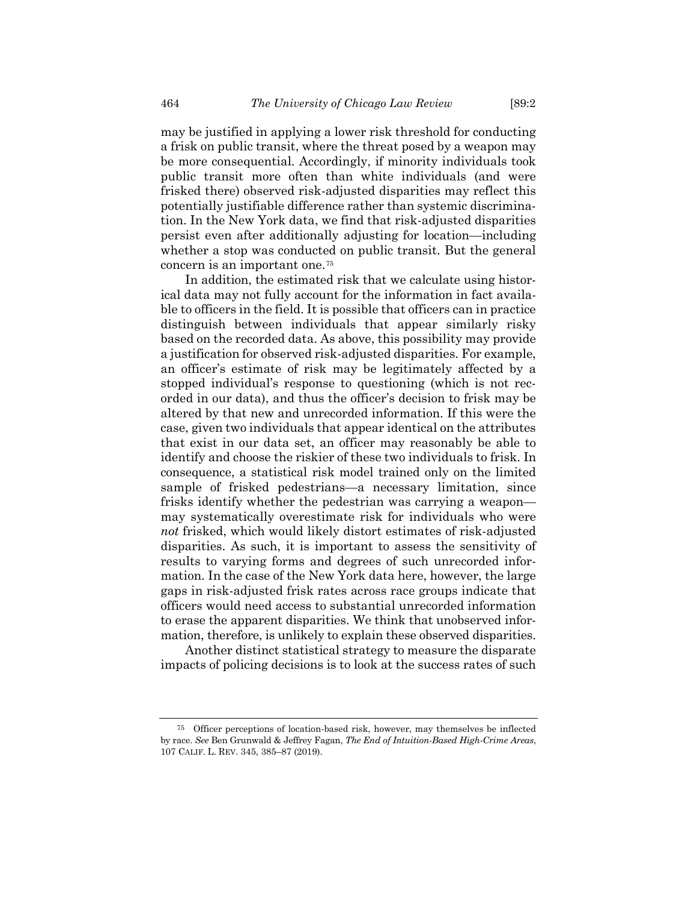may be justified in applying a lower risk threshold for conducting a frisk on public transit, where the threat posed by a weapon may be more consequential. Accordingly, if minority individuals took public transit more often than white individuals (and were frisked there) observed risk-adjusted disparities may reflect this potentially justifiable difference rather than systemic discrimination. In the New York data, we find that risk-adjusted disparities persist even after additionally adjusting for location—including whether a stop was conducted on public transit. But the general concern is an important one[.75](#page-23-0)

In addition, the estimated risk that we calculate using historical data may not fully account for the information in fact available to officers in the field. It is possible that officers can in practice distinguish between individuals that appear similarly risky based on the recorded data. As above, this possibility may provide a justification for observed risk-adjusted disparities. For example, an officer's estimate of risk may be legitimately affected by a stopped individual's response to questioning (which is not recorded in our data), and thus the officer's decision to frisk may be altered by that new and unrecorded information. If this were the case, given two individuals that appear identical on the attributes that exist in our data set, an officer may reasonably be able to identify and choose the riskier of these two individuals to frisk. In consequence, a statistical risk model trained only on the limited sample of frisked pedestrians—a necessary limitation, since frisks identify whether the pedestrian was carrying a weapon may systematically overestimate risk for individuals who were *not* frisked, which would likely distort estimates of risk-adjusted disparities. As such, it is important to assess the sensitivity of results to varying forms and degrees of such unrecorded information. In the case of the New York data here, however, the large gaps in risk-adjusted frisk rates across race groups indicate that officers would need access to substantial unrecorded information to erase the apparent disparities. We think that unobserved information, therefore, is unlikely to explain these observed disparities.

Another distinct statistical strategy to measure the disparate impacts of policing decisions is to look at the success rates of such

<span id="page-23-0"></span><sup>75</sup> Officer perceptions of location-based risk, however, may themselves be inflected by race. *See* Ben Grunwald & Jeffrey Fagan, *The End of Intuition-Based High-Crime Areas*, 107 CALIF. L. REV. 345, 385–87 (2019).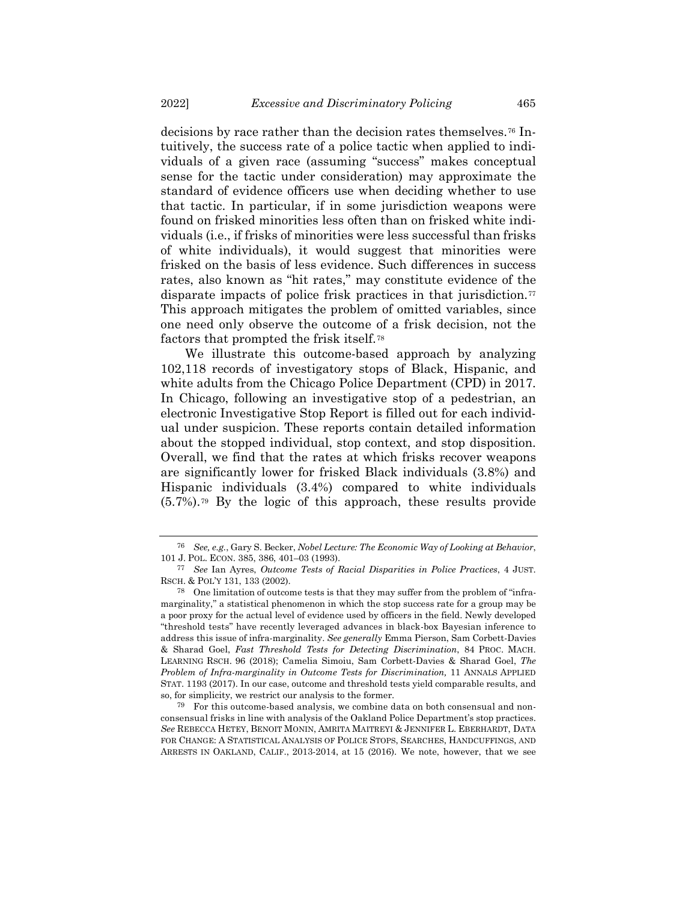decisions by race rather than the decision rates themselves.[76](#page-24-0) Intuitively, the success rate of a police tactic when applied to individuals of a given race (assuming "success" makes conceptual sense for the tactic under consideration) may approximate the standard of evidence officers use when deciding whether to use that tactic. In particular, if in some jurisdiction weapons were found on frisked minorities less often than on frisked white individuals (i.e., if frisks of minorities were less successful than frisks of white individuals), it would suggest that minorities were frisked on the basis of less evidence. Such differences in success rates, also known as "hit rates," may constitute evidence of the disparate impacts of police frisk practices in that jurisdiction.[77](#page-24-1) This approach mitigates the problem of omitted variables, since one need only observe the outcome of a frisk decision, not the factors that prompted the frisk itself.[78](#page-24-2)

We illustrate this outcome-based approach by analyzing 102,118 records of investigatory stops of Black, Hispanic, and white adults from the Chicago Police Department (CPD) in 2017. In Chicago, following an investigative stop of a pedestrian, an electronic Investigative Stop Report is filled out for each individual under suspicion. These reports contain detailed information about the stopped individual, stop context, and stop disposition. Overall, we find that the rates at which frisks recover weapons are significantly lower for frisked Black individuals (3.8%) and Hispanic individuals (3.4%) compared to white individuals (5.7%).[79](#page-24-3) By the logic of this approach, these results provide

<span id="page-24-0"></span><sup>76</sup> *See, e.g.*, Gary S. Becker, *Nobel Lecture: The Economic Way of Looking at Behavior*, 101 J. POL. ECON. 385, 386, 401–03 (1993).

<span id="page-24-1"></span><sup>77</sup> *See* Ian Ayres, *Outcome Tests of Racial Disparities in Police Practices*, 4 JUST. RSCH. & POL'Y 131, 133 (2002).

<span id="page-24-2"></span><sup>78</sup> One limitation of outcome tests is that they may suffer from the problem of "inframarginality," a statistical phenomenon in which the stop success rate for a group may be a poor proxy for the actual level of evidence used by officers in the field. Newly developed "threshold tests" have recently leveraged advances in black-box Bayesian inference to address this issue of infra-marginality. *See generally* Emma Pierson, Sam Corbett-Davies & Sharad Goel, *Fast Threshold Tests for Detecting Discrimination*, 84 PROC. MACH. LEARNING RSCH. 96 (2018); Camelia Simoiu, Sam Corbett-Davies & Sharad Goel, *The Problem of Infra-marginality in Outcome Tests for Discrimination,* 11 ANNALS APPLIED STAT. 1193 (2017). In our case, outcome and threshold tests yield comparable results, and so, for simplicity, we restrict our analysis to the former.

<span id="page-24-3"></span><sup>79</sup> For this outcome-based analysis, we combine data on both consensual and nonconsensual frisks in line with analysis of the Oakland Police Department's stop practices. *See* REBECCA HETEY, BENOIT MONIN, AMRITA MAITREYI & JENNIFER L. EBERHARDT, DATA FOR CHANGE: A STATISTICAL ANALYSIS OF POLICE STOPS, SEARCHES, HANDCUFFINGS, AND ARRESTS IN OAKLAND, CALIF., 2013-2014, at 15 (2016). We note, however, that we see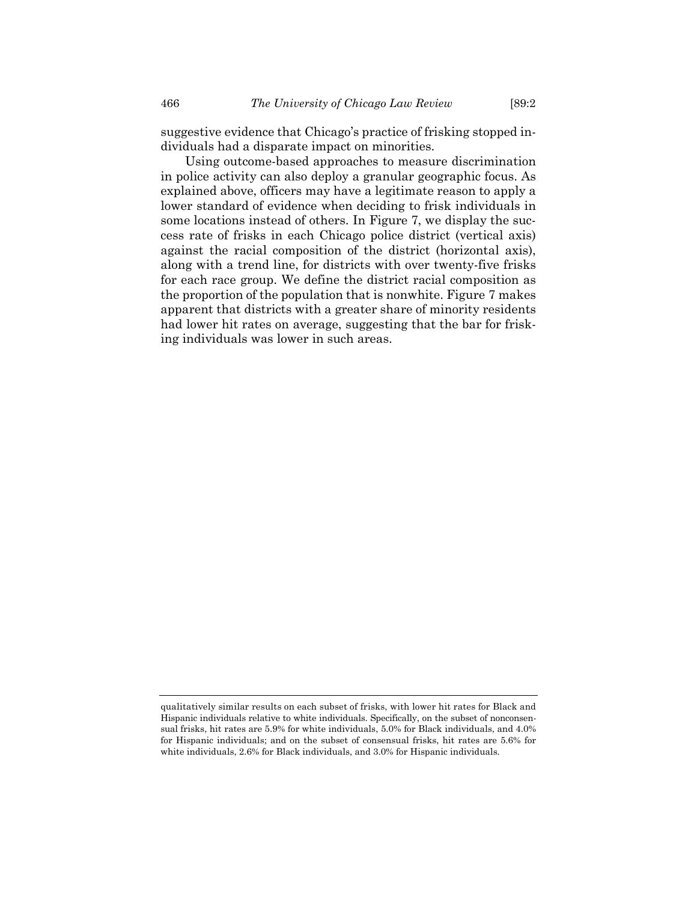suggestive evidence that Chicago's practice of frisking stopped individuals had a disparate impact on minorities.

Using outcome-based approaches to measure discrimination in police activity can also deploy a granular geographic focus. As explained above, officers may have a legitimate reason to apply a lower standard of evidence when deciding to frisk individuals in some locations instead of others. In Figure 7, we display the success rate of frisks in each Chicago police district (vertical axis) against the racial composition of the district (horizontal axis), along with a trend line, for districts with over twenty-five frisks for each race group. We define the district racial composition as the proportion of the population that is nonwhite. Figure 7 makes apparent that districts with a greater share of minority residents had lower hit rates on average, suggesting that the bar for frisking individuals was lower in such areas.

qualitatively similar results on each subset of frisks, with lower hit rates for Black and Hispanic individuals relative to white individuals. Specifically, on the subset of nonconsensual frisks, hit rates are 5.9% for white individuals, 5.0% for Black individuals, and 4.0% for Hispanic individuals; and on the subset of consensual frisks, hit rates are 5.6% for white individuals, 2.6% for Black individuals, and 3.0% for Hispanic individuals.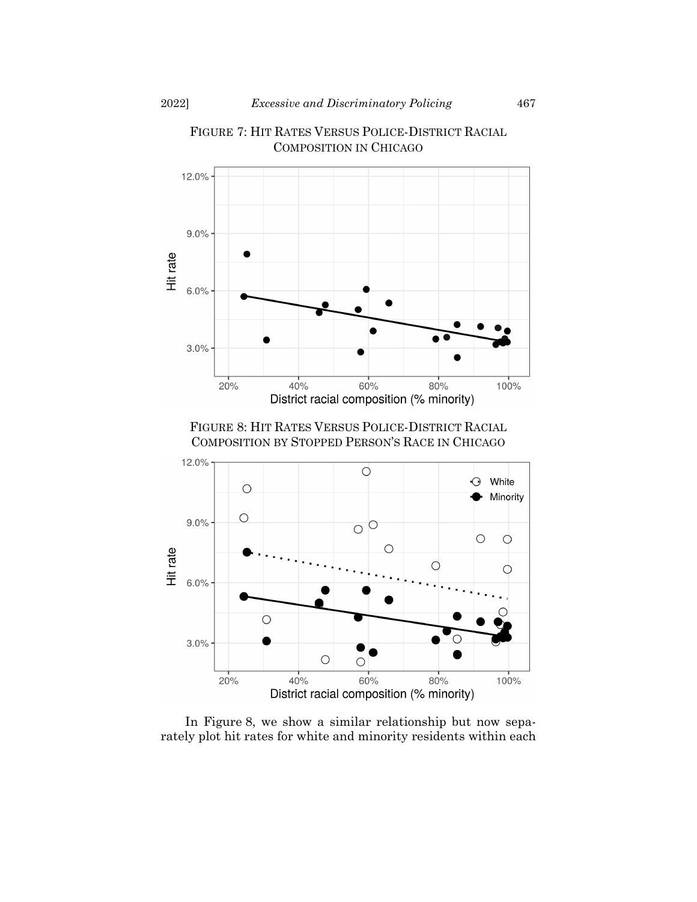

FIGURE 7: HIT RATES VERSUS POLICE-DISTRICT RACIAL COMPOSITION IN CHICAGO

In Figure 8, we show a similar relationship but now separately plot hit rates for white and minority residents within each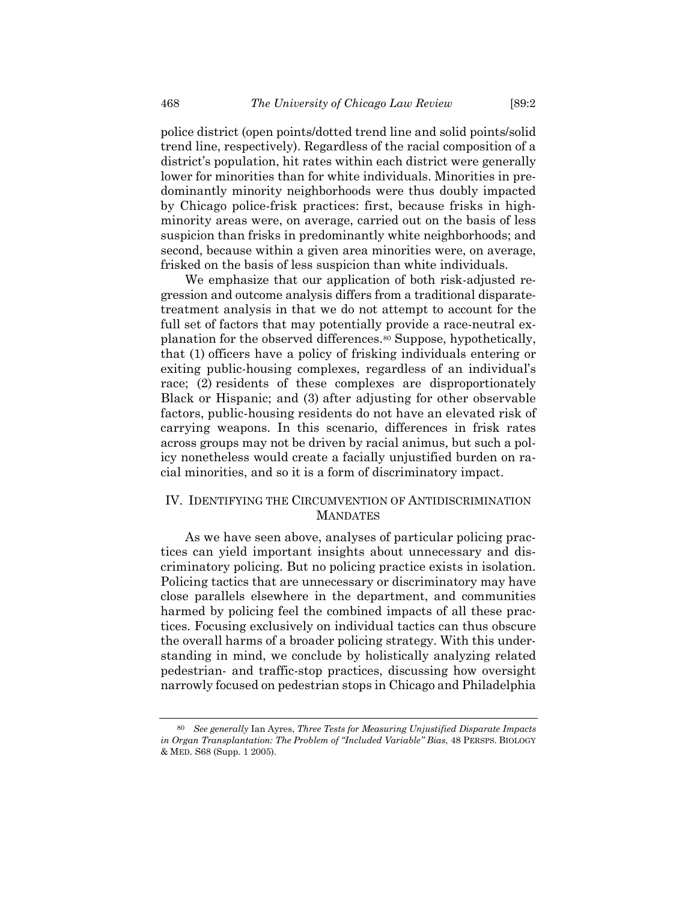police district (open points/dotted trend line and solid points/solid trend line, respectively). Regardless of the racial composition of a district's population, hit rates within each district were generally lower for minorities than for white individuals. Minorities in predominantly minority neighborhoods were thus doubly impacted by Chicago police-frisk practices: first, because frisks in highminority areas were, on average, carried out on the basis of less suspicion than frisks in predominantly white neighborhoods; and second, because within a given area minorities were, on average, frisked on the basis of less suspicion than white individuals.

We emphasize that our application of both risk-adjusted regression and outcome analysis differs from a traditional disparatetreatment analysis in that we do not attempt to account for the full set of factors that may potentially provide a race-neutral explanation for the observed differences.[80](#page-27-0) Suppose, hypothetically, that (1) officers have a policy of frisking individuals entering or exiting public-housing complexes, regardless of an individual's race; (2) residents of these complexes are disproportionately Black or Hispanic; and (3) after adjusting for other observable factors, public-housing residents do not have an elevated risk of carrying weapons. In this scenario, differences in frisk rates across groups may not be driven by racial animus, but such a policy nonetheless would create a facially unjustified burden on racial minorities, and so it is a form of discriminatory impact.

# IV. IDENTIFYING THE CIRCUMVENTION OF ANTIDISCRIMINATION **MANDATES**

As we have seen above, analyses of particular policing practices can yield important insights about unnecessary and discriminatory policing. But no policing practice exists in isolation. Policing tactics that are unnecessary or discriminatory may have close parallels elsewhere in the department, and communities harmed by policing feel the combined impacts of all these practices. Focusing exclusively on individual tactics can thus obscure the overall harms of a broader policing strategy. With this understanding in mind, we conclude by holistically analyzing related pedestrian- and traffic-stop practices, discussing how oversight narrowly focused on pedestrian stops in Chicago and Philadelphia

<span id="page-27-0"></span><sup>80</sup> *See generally* Ian Ayres, *Three Tests for Measuring Unjustified Disparate Impacts in Organ Transplantation: The Problem of "Included Variable" Bias*, 48 PERSPS. BIOLOGY & MED. S68 (Supp. 1 2005).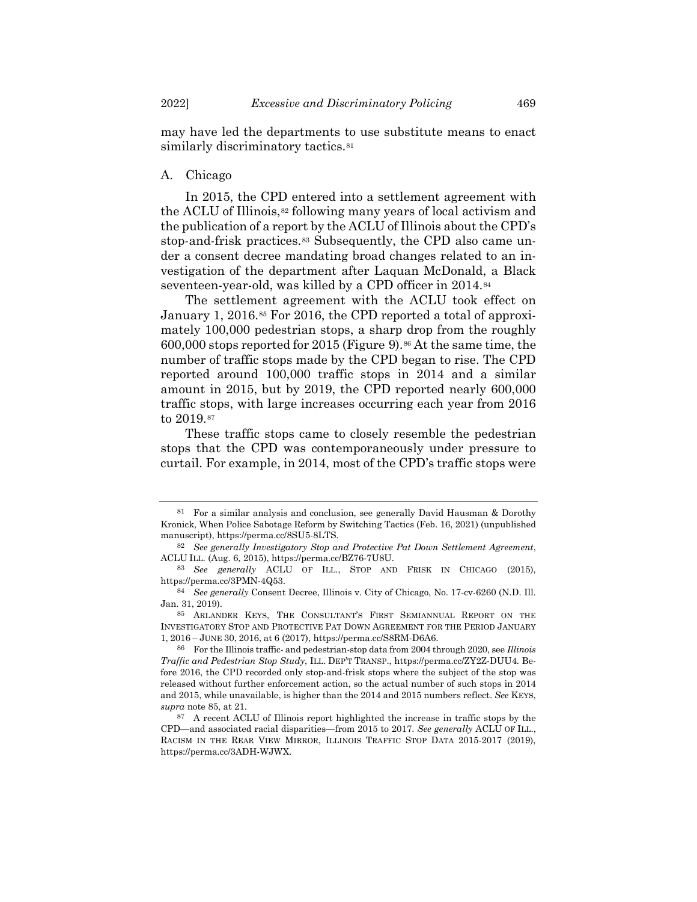may have led the departments to use substitute means to enact similarly discriminatory tactics.<sup>[81](#page-28-1)</sup>

# A. Chicago

In 2015, the CPD entered into a settlement agreement with the ACLU of Illinois,<sup>[82](#page-28-2)</sup> following many years of local activism and the publication of a report by the ACLU of Illinois about the CPD's stop-and-frisk practices.<sup>[83](#page-28-3)</sup> Subsequently, the CPD also came under a consent decree mandating broad changes related to an investigation of the department after Laquan McDonald, a Black seventeen-year-old, was killed by a CPD officer in 2014.[84](#page-28-4)

<span id="page-28-8"></span><span id="page-28-0"></span>The settlement agreement with the ACLU took effect on January 1, 2016.[85](#page-28-5) For 2016, the CPD reported a total of approximately 100,000 pedestrian stops, a sharp drop from the roughly 600,000 stops reported for 2015 (Figure 9).[86](#page-28-6) At the same time, the number of traffic stops made by the CPD began to rise. The CPD reported around 100,000 traffic stops in 2014 and a similar amount in 2015, but by 2019, the CPD reported nearly 600,000 traffic stops, with large increases occurring each year from 2016 to 2019.[87](#page-28-7)

These traffic stops came to closely resemble the pedestrian stops that the CPD was contemporaneously under pressure to curtail. For example, in 2014, most of the CPD's traffic stops were

<span id="page-28-1"></span><sup>81</sup> For a similar analysis and conclusion, see generally David Hausman & Dorothy Kronick, When Police Sabotage Reform by Switching Tactics (Feb. 16, 2021) (unpublished manuscript), https://perma.cc/8SU5-8LTS.

<span id="page-28-2"></span><sup>82</sup> *See generally Investigatory Stop and Protective Pat Down Settlement Agreement*, ACLU ILL. (Aug. 6, 2015), https://perma.cc/BZ76-7U8U.

<span id="page-28-3"></span><sup>83</sup> *See generally* ACLU OF ILL., STOP AND FRISK IN CHICAGO (2015), https://perma.cc/3PMN-4Q53.

<span id="page-28-4"></span><sup>84</sup> *See generally* Consent Decree, Illinois v. City of Chicago, No. 17-cv-6260 (N.D. Ill. Jan. 31, 2019).

<span id="page-28-5"></span><sup>85</sup> ARLANDER KEYS, THE CONSULTANT'S FIRST SEMIANNUAL REPORT ON THE INVESTIGATORY STOP AND PROTECTIVE PAT DOWN AGREEMENT FOR THE PERIOD JANUARY 1, 2016 – JUNE 30, 2016, at 6 (2017), https://perma.cc/S8RM-D6A6.

<span id="page-28-6"></span><sup>86</sup> For the Illinois traffic- and pedestrian-stop data from 2004 through 2020, see *Illinois Traffic and Pedestrian Stop Study*, ILL. DEP'T TRANSP., https://perma.cc/ZY2Z-DUU4. Before 2016, the CPD recorded only stop-and-frisk stops where the subject of the stop was released without further enforcement action, so the actual number of such stops in 2014 and 2015, while unavailable, is higher than the 2014 and 2015 numbers reflect. *See* KEYS, *supra* note [85,](#page-28-0) at 21.

<span id="page-28-7"></span><sup>87</sup> A recent ACLU of Illinois report highlighted the increase in traffic stops by the CPD—and associated racial disparities—from 2015 to 2017. *See generally* ACLU OF ILL., RACISM IN THE REAR VIEW MIRROR, ILLINOIS TRAFFIC STOP DATA 2015-2017 (2019), https://perma.cc/3ADH-WJWX.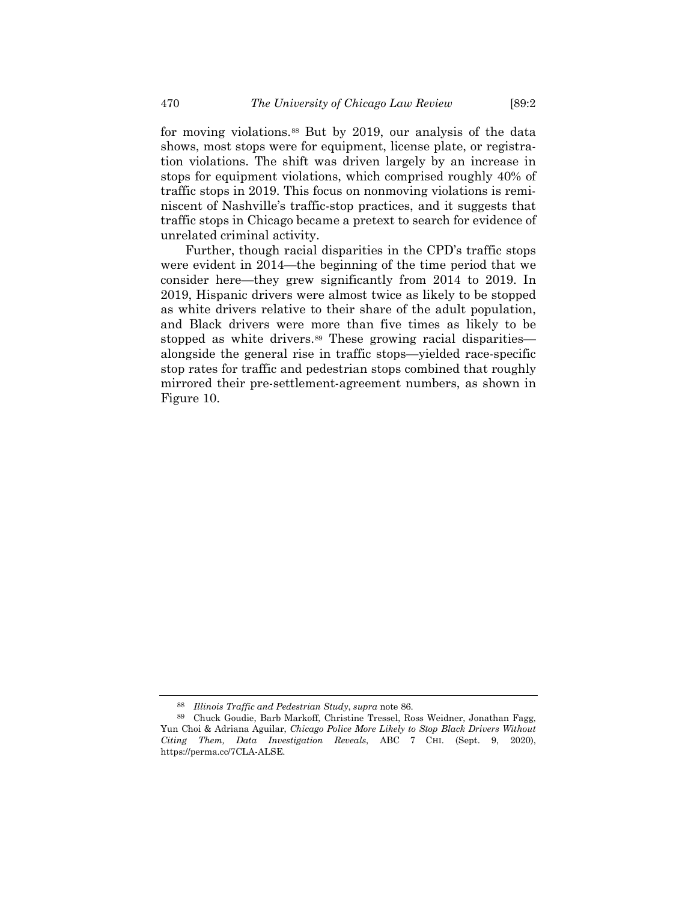for moving violations.[88](#page-29-0) But by 2019, our analysis of the data shows, most stops were for equipment, license plate, or registration violations. The shift was driven largely by an increase in stops for equipment violations, which comprised roughly 40% of traffic stops in 2019. This focus on nonmoving violations is reminiscent of Nashville's traffic-stop practices, and it suggests that traffic stops in Chicago became a pretext to search for evidence of unrelated criminal activity.

Further, though racial disparities in the CPD's traffic stops were evident in 2014—the beginning of the time period that we consider here—they grew significantly from 2014 to 2019. In 2019, Hispanic drivers were almost twice as likely to be stopped as white drivers relative to their share of the adult population, and Black drivers were more than five times as likely to be stopped as white drivers.<sup>[89](#page-29-1)</sup> These growing racial disparities alongside the general rise in traffic stops—yielded race-specific stop rates for traffic and pedestrian stops combined that roughly mirrored their pre-settlement-agreement numbers, as shown in Figure 10.

<sup>88</sup> *Illinois Traffic and Pedestrian Study*, *supra* note [86.](#page-28-8)

<span id="page-29-1"></span><span id="page-29-0"></span><sup>89</sup> Chuck Goudie, Barb Markoff, Christine Tressel, Ross Weidner, Jonathan Fagg, Yun Choi & Adriana Aguilar, *Chicago Police More Likely to Stop Black Drivers Without Citing Them, Data Investigation Reveals*, ABC 7 CHI. (Sept. 9, 2020), https://perma.cc/7CLA-ALSE.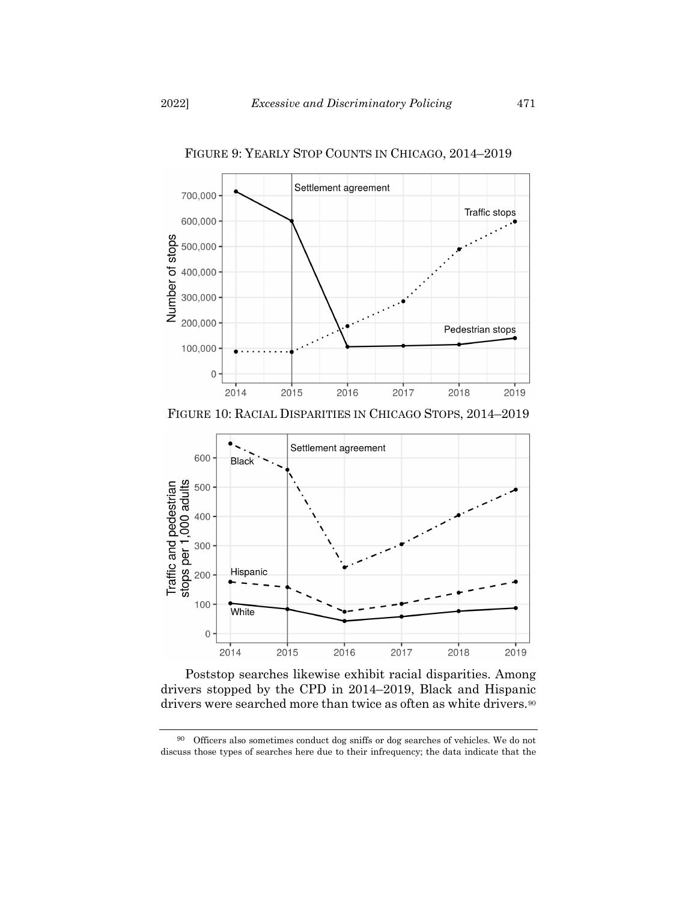

FIGURE 9: YEARLY STOP COUNTS IN CHICAGO, 2014–2019





Poststop searches likewise exhibit racial disparities. Among drivers stopped by the CPD in 2014–2019, Black and Hispanic drivers were searched more than twice as often as white drivers.<sup>[90](#page-30-0)</sup>

<span id="page-30-0"></span><sup>90</sup> Officers also sometimes conduct dog sniffs or dog searches of vehicles. We do not discuss those types of searches here due to their infrequency; the data indicate that the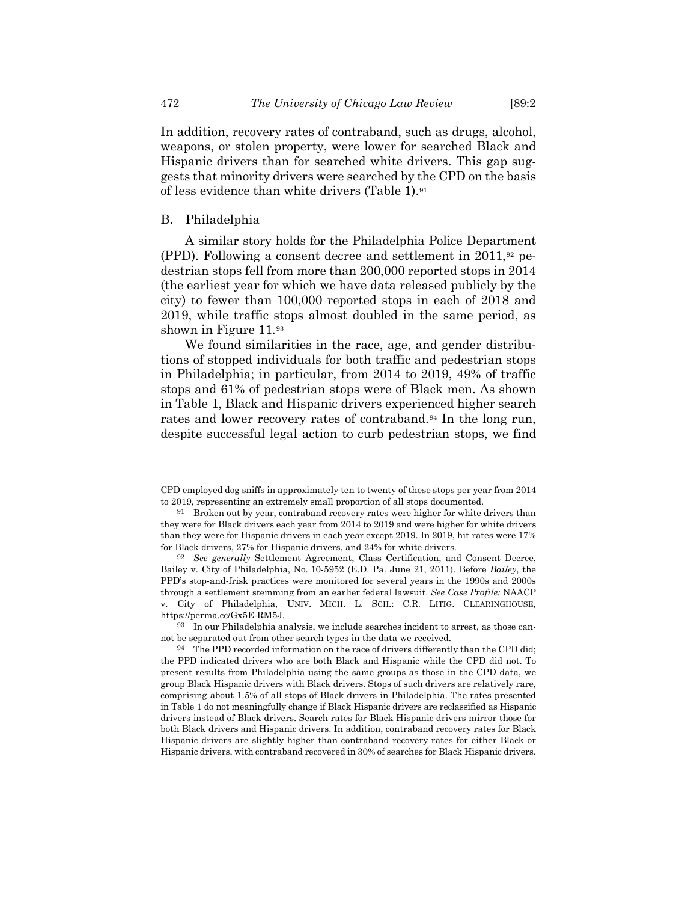In addition, recovery rates of contraband, such as drugs, alcohol, weapons, or stolen property, were lower for searched Black and Hispanic drivers than for searched white drivers. This gap suggests that minority drivers were searched by the CPD on the basis of less evidence than white drivers (Table 1).[91](#page-31-0)

# B. Philadelphia

A similar story holds for the Philadelphia Police Department (PPD). Following a consent decree and settlement in 2011,[92](#page-31-1) pedestrian stops fell from more than 200,000 reported stops in 2014 (the earliest year for which we have data released publicly by the city) to fewer than 100,000 reported stops in each of 2018 and 2019, while traffic stops almost doubled in the same period, as shown in Figure 11.[93](#page-31-2)

We found similarities in the race, age, and gender distributions of stopped individuals for both traffic and pedestrian stops in Philadelphia; in particular, from 2014 to 2019, 49% of traffic stops and 61% of pedestrian stops were of Black men. As shown in Table 1, Black and Hispanic drivers experienced higher search rates and lower recovery rates of contraband[.94](#page-31-3) In the long run, despite successful legal action to curb pedestrian stops, we find

CPD employed dog sniffs in approximately ten to twenty of these stops per year from 2014 to 2019, representing an extremely small proportion of all stops documented.

<span id="page-31-0"></span><sup>91</sup> Broken out by year, contraband recovery rates were higher for white drivers than they were for Black drivers each year from 2014 to 2019 and were higher for white drivers than they were for Hispanic drivers in each year except 2019. In 2019, hit rates were 17% for Black drivers, 27% for Hispanic drivers, and 24% for white drivers.

<span id="page-31-1"></span><sup>92</sup> *See generally* Settlement Agreement, Class Certification, and Consent Decree, Bailey v. City of Philadelphia, No. 10-5952 (E.D. Pa. June 21, 2011). Before *Bailey*, the PPD's stop-and-frisk practices were monitored for several years in the 1990s and 2000s through a settlement stemming from an earlier federal lawsuit. *See Case Profile:* NAACP v. City of Philadelphia, UNIV. MICH. L. SCH.: C.R. LITIG. CLEARINGHOUSE, https://perma.cc/Gx5E-RM5J.

<span id="page-31-2"></span><sup>93</sup> In our Philadelphia analysis, we include searches incident to arrest, as those cannot be separated out from other search types in the data we received.

<span id="page-31-3"></span><sup>94</sup> The PPD recorded information on the race of drivers differently than the CPD did; the PPD indicated drivers who are both Black and Hispanic while the CPD did not. To present results from Philadelphia using the same groups as those in the CPD data, we group Black Hispanic drivers with Black drivers. Stops of such drivers are relatively rare, comprising about 1.5% of all stops of Black drivers in Philadelphia. The rates presented in Table 1 do not meaningfully change if Black Hispanic drivers are reclassified as Hispanic drivers instead of Black drivers. Search rates for Black Hispanic drivers mirror those for both Black drivers and Hispanic drivers. In addition, contraband recovery rates for Black Hispanic drivers are slightly higher than contraband recovery rates for either Black or Hispanic drivers, with contraband recovered in 30% of searches for Black Hispanic drivers.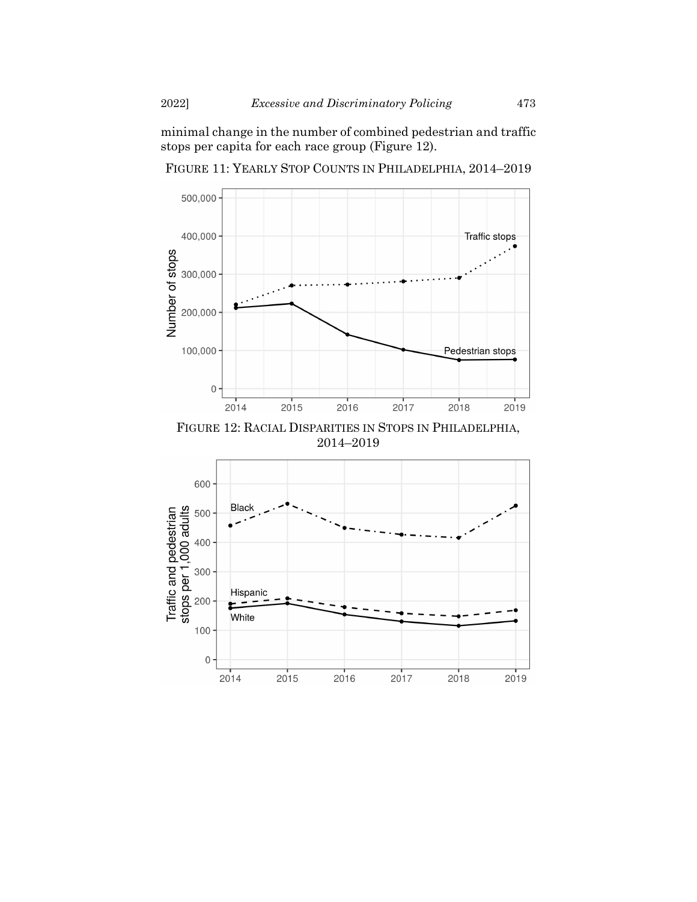minimal change in the number of combined pedestrian and traffic stops per capita for each race group (Figure 12).

FIGURE 11: YEARLY STOP COUNTS IN PHILADELPHIA, 2014–2019



FIGURE 12: RACIAL DISPARITIES IN STOPS IN PHILADELPHIA, 2014–2019

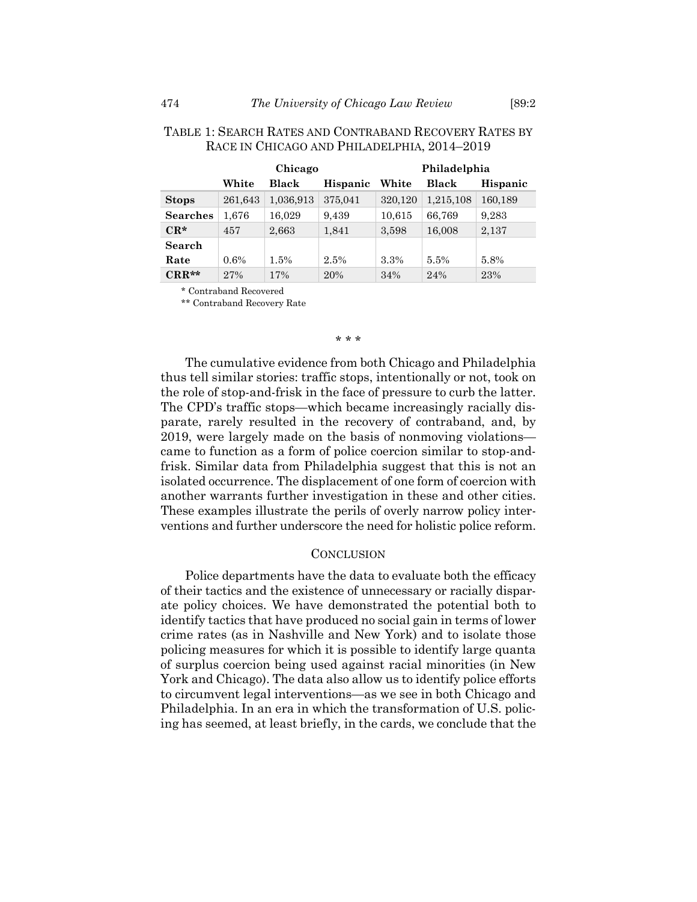|                 | Chicago |           |                 | Philadelphia |           |          |
|-----------------|---------|-----------|-----------------|--------------|-----------|----------|
|                 | White   | Black     | <b>Hispanic</b> | White        | Black     | Hispanic |
| <b>Stops</b>    | 261,643 | 1,036,913 | 375,041         | 320,120      | 1,215,108 | 160,189  |
| <b>Searches</b> | 1,676   | 16,029    | 9,439           | 10,615       | 66,769    | 9,283    |
| $CR*$           | 457     | 2,663     | 1,841           | 3,598        | 16,008    | 2,137    |
| Search          |         |           |                 |              |           |          |
| Rate            | 0.6%    | 1.5%      | 2.5%            | 3.3%         | 5.5%      | 5.8%     |
| $CRR**$         | 27%     | 17%       | 20%             | 34%          | 24%       | 23%      |

# TABLE 1: SEARCH RATES AND CONTRABAND RECOVERY RATES BY RACE IN CHICAGO AND PHILADELPHIA, 2014–2019

\* Contraband Recovered

\*\* Contraband Recovery Rate

#### \* \* \*

The cumulative evidence from both Chicago and Philadelphia thus tell similar stories: traffic stops, intentionally or not, took on the role of stop-and-frisk in the face of pressure to curb the latter. The CPD's traffic stops—which became increasingly racially disparate, rarely resulted in the recovery of contraband, and, by 2019, were largely made on the basis of nonmoving violations came to function as a form of police coercion similar to stop-andfrisk. Similar data from Philadelphia suggest that this is not an isolated occurrence. The displacement of one form of coercion with another warrants further investigation in these and other cities. These examples illustrate the perils of overly narrow policy interventions and further underscore the need for holistic police reform.

#### **CONCLUSION**

Police departments have the data to evaluate both the efficacy of their tactics and the existence of unnecessary or racially disparate policy choices. We have demonstrated the potential both to identify tactics that have produced no social gain in terms of lower crime rates (as in Nashville and New York) and to isolate those policing measures for which it is possible to identify large quanta of surplus coercion being used against racial minorities (in New York and Chicago). The data also allow us to identify police efforts to circumvent legal interventions—as we see in both Chicago and Philadelphia. In an era in which the transformation of U.S. policing has seemed, at least briefly, in the cards, we conclude that the